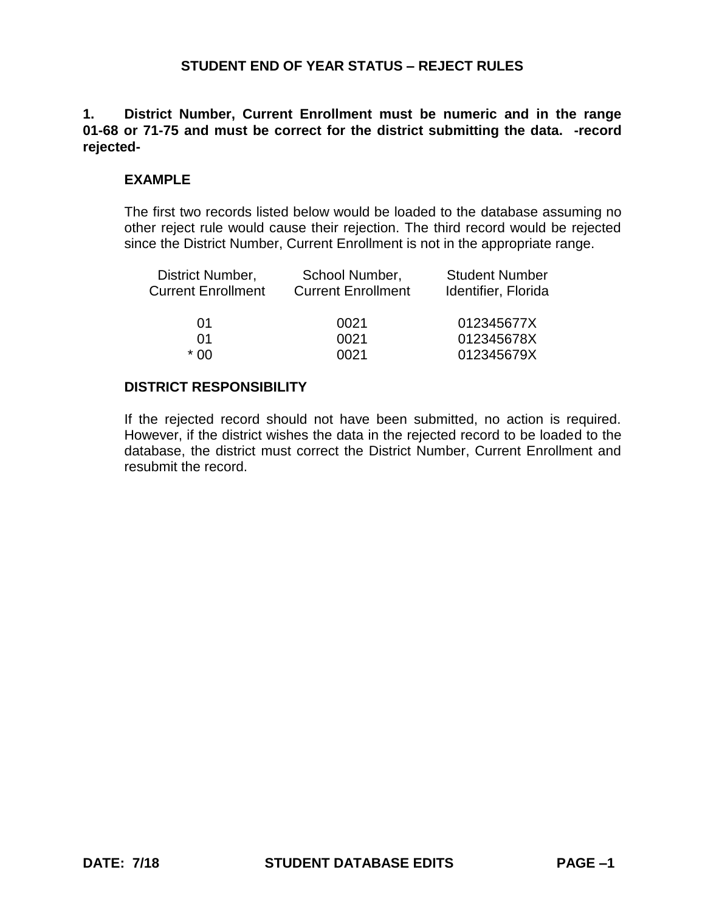## **1. District Number, Current Enrollment must be numeric and in the range 01-68 or 71-75 and must be correct for the district submitting the data. -record rejected-**

## **EXAMPLE**

The first two records listed below would be loaded to the database assuming no other reject rule would cause their rejection. The third record would be rejected since the District Number, Current Enrollment is not in the appropriate range.

| School Number,<br><b>Current Enrollment</b> | <b>Student Number</b><br>Identifier, Florida |
|---------------------------------------------|----------------------------------------------|
| 0021                                        | 012345677X                                   |
| 0021                                        | 012345678X                                   |
| 0021                                        | 012345679X                                   |
|                                             |                                              |

### **DISTRICT RESPONSIBILITY**

If the rejected record should not have been submitted, no action is required. However, if the district wishes the data in the rejected record to be loaded to the database, the district must correct the District Number, Current Enrollment and resubmit the record.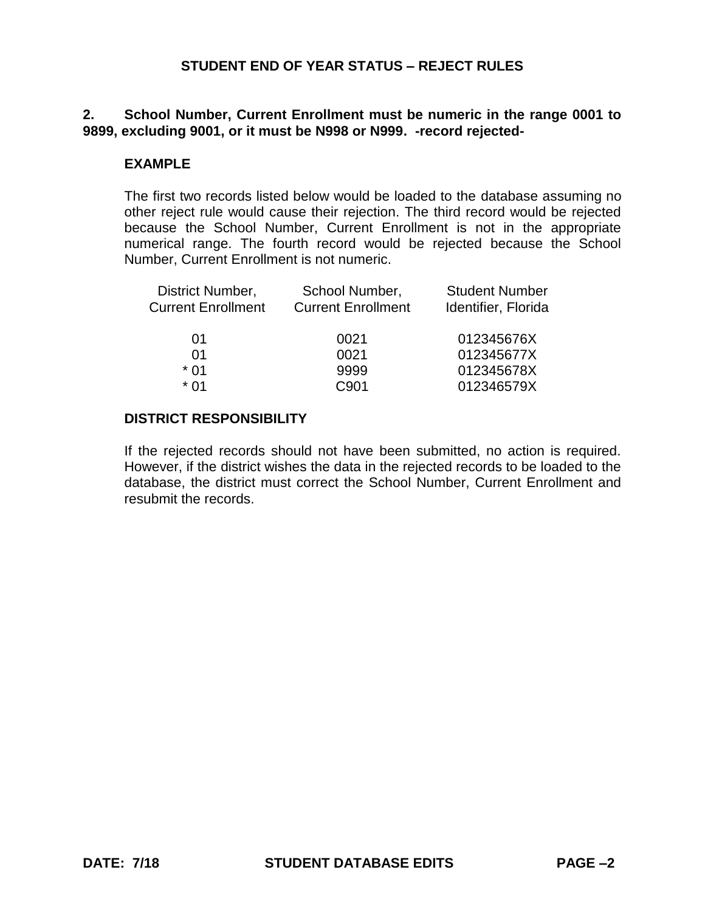# **2. School Number, Current Enrollment must be numeric in the range 0001 to 9899, excluding 9001, or it must be N998 or N999. -record rejected-**

## **EXAMPLE**

The first two records listed below would be loaded to the database assuming no other reject rule would cause their rejection. The third record would be rejected because the School Number, Current Enrollment is not in the appropriate numerical range. The fourth record would be rejected because the School Number, Current Enrollment is not numeric.

| School Number, | <b>Student Number</b>     |
|----------------|---------------------------|
|                | Identifier, Florida       |
| 0021           | 012345676X                |
| 0021           | 012345677X                |
| 9999           | 012345678X                |
| C901           | 012346579X                |
|                | <b>Current Enrollment</b> |

# **DISTRICT RESPONSIBILITY**

If the rejected records should not have been submitted, no action is required. However, if the district wishes the data in the rejected records to be loaded to the database, the district must correct the School Number, Current Enrollment and resubmit the records.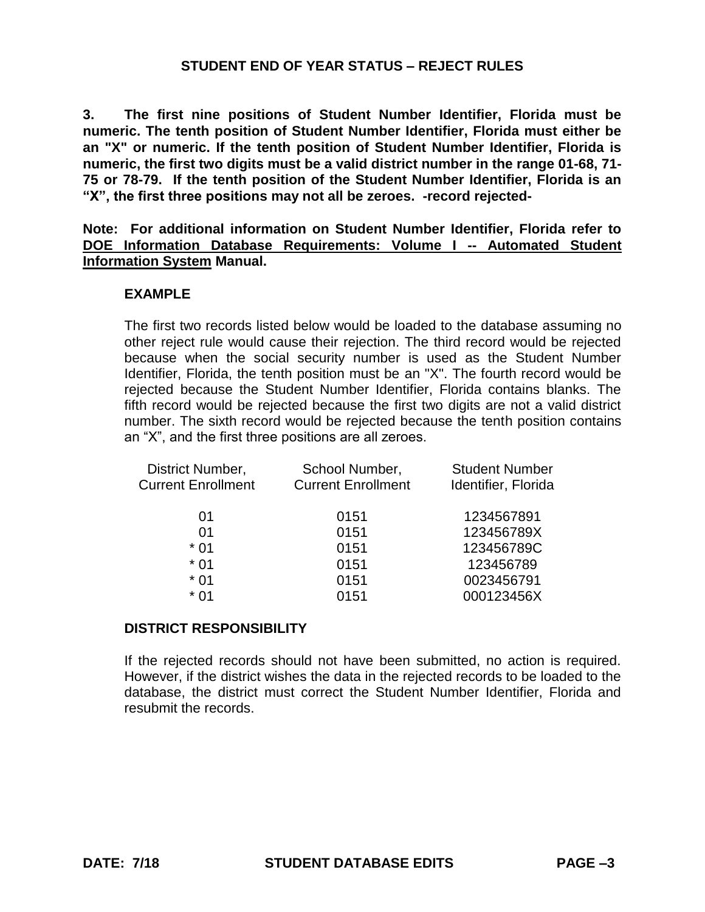**3. The first nine positions of Student Number Identifier, Florida must be numeric. The tenth position of Student Number Identifier, Florida must either be an "X" or numeric. If the tenth position of Student Number Identifier, Florida is numeric, the first two digits must be a valid district number in the range 01-68, 71- 75 or 78-79. If the tenth position of the Student Number Identifier, Florida is an "X", the first three positions may not all be zeroes. -record rejected-**

**Note: For additional information on Student Number Identifier, Florida refer to DOE Information Database Requirements: Volume I -- Automated Student Information System Manual.**

### **EXAMPLE**

The first two records listed below would be loaded to the database assuming no other reject rule would cause their rejection. The third record would be rejected because when the social security number is used as the Student Number Identifier, Florida, the tenth position must be an "X". The fourth record would be rejected because the Student Number Identifier, Florida contains blanks. The fifth record would be rejected because the first two digits are not a valid district number. The sixth record would be rejected because the tenth position contains an "X", and the first three positions are all zeroes.

| School Number,            | <b>Student Number</b> |
|---------------------------|-----------------------|
| <b>Current Enrollment</b> | Identifier, Florida   |
| 0151                      | 1234567891            |
| 0151                      | 123456789X            |
| 0151                      | 123456789C            |
| 0151                      | 123456789             |
| 0151                      | 0023456791            |
| 0151                      | 000123456X            |
|                           |                       |

#### **DISTRICT RESPONSIBILITY**

If the rejected records should not have been submitted, no action is required. However, if the district wishes the data in the rejected records to be loaded to the database, the district must correct the Student Number Identifier, Florida and resubmit the records.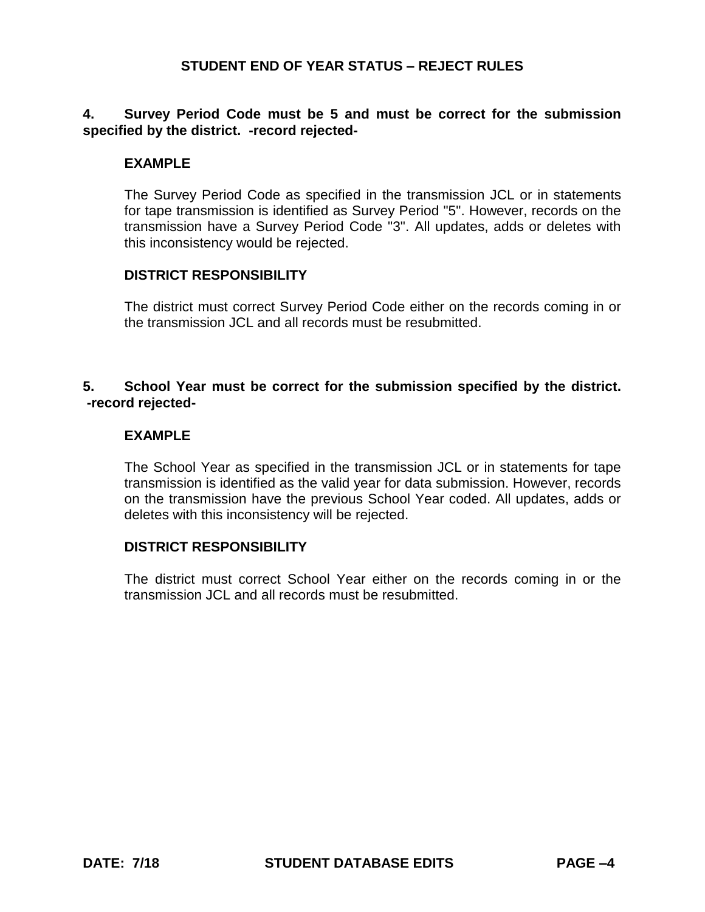# **4. Survey Period Code must be 5 and must be correct for the submission specified by the district. -record rejected-**

## **EXAMPLE**

The Survey Period Code as specified in the transmission JCL or in statements for tape transmission is identified as Survey Period "5". However, records on the transmission have a Survey Period Code "3". All updates, adds or deletes with this inconsistency would be rejected.

### **DISTRICT RESPONSIBILITY**

The district must correct Survey Period Code either on the records coming in or the transmission JCL and all records must be resubmitted.

# **5. School Year must be correct for the submission specified by the district. -record rejected-**

### **EXAMPLE**

The School Year as specified in the transmission JCL or in statements for tape transmission is identified as the valid year for data submission. However, records on the transmission have the previous School Year coded. All updates, adds or deletes with this inconsistency will be rejected.

#### **DISTRICT RESPONSIBILITY**

The district must correct School Year either on the records coming in or the transmission JCL and all records must be resubmitted.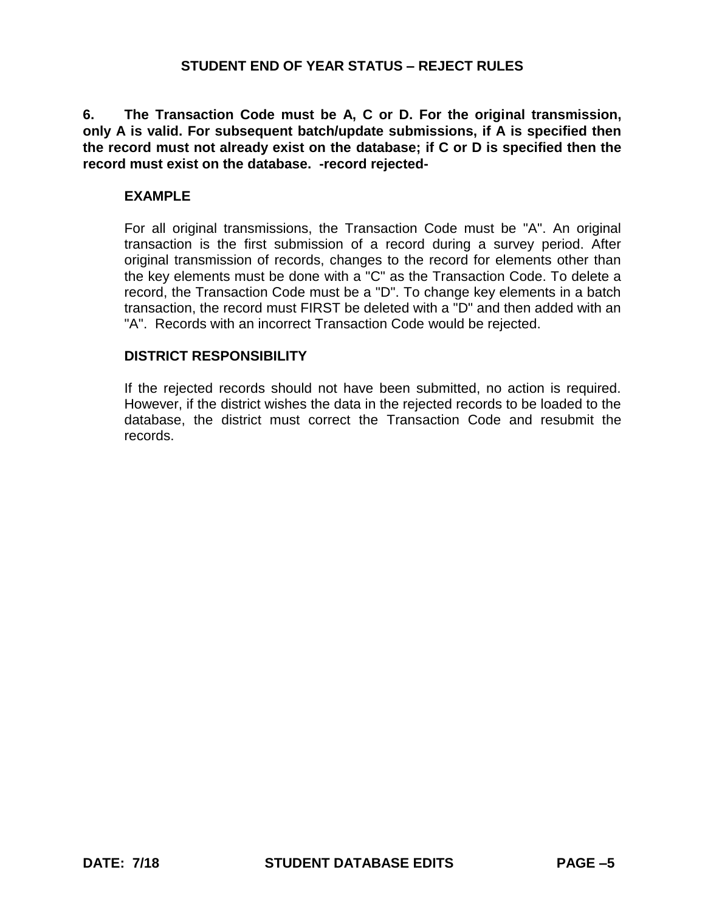**6. The Transaction Code must be A, C or D. For the original transmission, only A is valid. For subsequent batch/update submissions, if A is specified then the record must not already exist on the database; if C or D is specified then the record must exist on the database. -record rejected-**

## **EXAMPLE**

For all original transmissions, the Transaction Code must be "A". An original transaction is the first submission of a record during a survey period. After original transmission of records, changes to the record for elements other than the key elements must be done with a "C" as the Transaction Code. To delete a record, the Transaction Code must be a "D". To change key elements in a batch transaction, the record must FIRST be deleted with a "D" and then added with an "A". Records with an incorrect Transaction Code would be rejected.

### **DISTRICT RESPONSIBILITY**

If the rejected records should not have been submitted, no action is required. However, if the district wishes the data in the rejected records to be loaded to the database, the district must correct the Transaction Code and resubmit the records.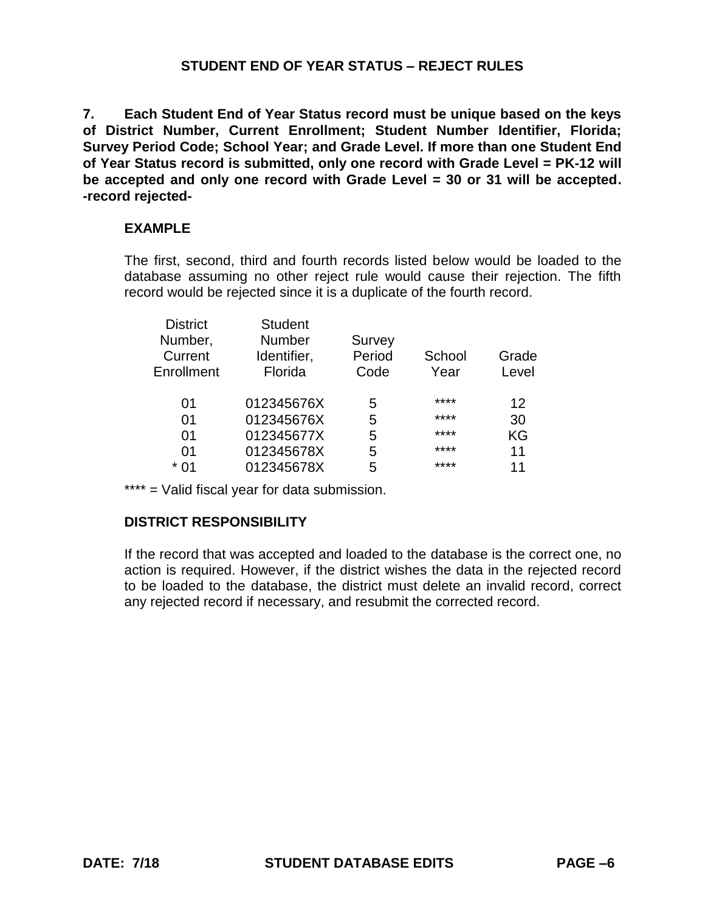**7. Each Student End of Year Status record must be unique based on the keys of District Number, Current Enrollment; Student Number Identifier, Florida; Survey Period Code; School Year; and Grade Level. If more than one Student End of Year Status record is submitted, only one record with Grade Level = PK-12 will be accepted and only one record with Grade Level = 30 or 31 will be accepted. -record rejected-**

# **EXAMPLE**

The first, second, third and fourth records listed below would be loaded to the database assuming no other reject rule would cause their rejection. The fifth record would be rejected since it is a duplicate of the fourth record.

| <b>District</b> | <b>Student</b> |        |        |       |
|-----------------|----------------|--------|--------|-------|
| Number,         | <b>Number</b>  | Survey |        |       |
| Current         | Identifier,    | Period | School | Grade |
| Enrollment      | Florida        | Code   | Year   | Level |
| 01              | 012345676X     | 5      | ****   | 12    |
| 01              | 012345676X     | 5      | ****   | 30    |
| 01              | 012345677X     | 5      | ****   | KG    |
| 01              | 012345678X     | 5      | ****   | 11    |
| * 01            | 012345678X     | 5      | ****   | 11    |

\*\*\*\* = Valid fiscal year for data submission.

# **DISTRICT RESPONSIBILITY**

If the record that was accepted and loaded to the database is the correct one, no action is required. However, if the district wishes the data in the rejected record to be loaded to the database, the district must delete an invalid record, correct any rejected record if necessary, and resubmit the corrected record.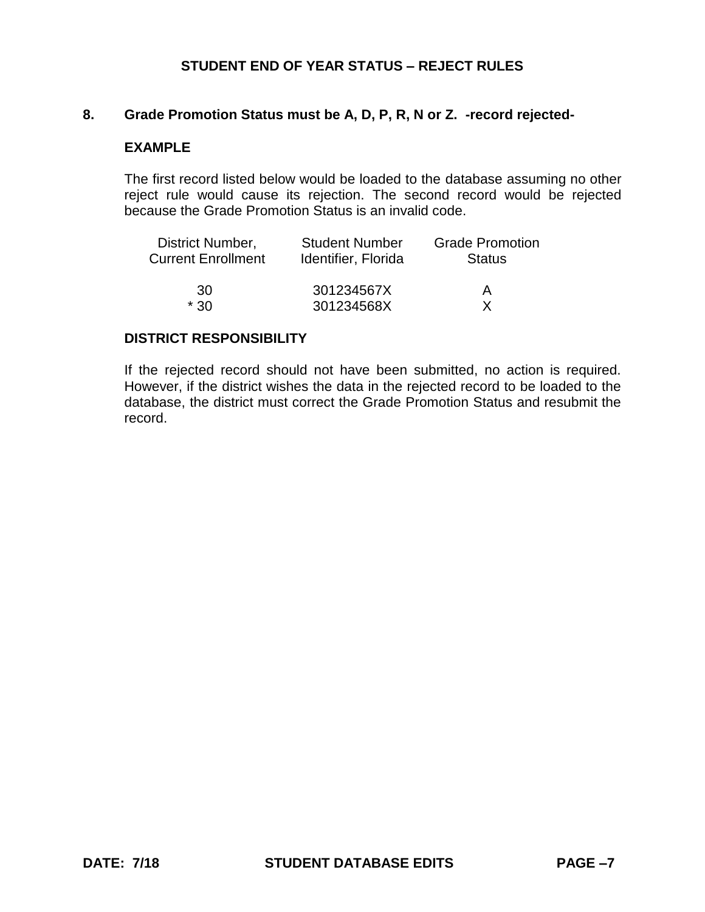### **8. Grade Promotion Status must be A, D, P, R, N or Z. -record rejected-**

### **EXAMPLE**

The first record listed below would be loaded to the database assuming no other reject rule would cause its rejection. The second record would be rejected because the Grade Promotion Status is an invalid code.

| District Number,          | <b>Student Number</b> | <b>Grade Promotion</b> |
|---------------------------|-----------------------|------------------------|
| <b>Current Enrollment</b> | Identifier, Florida   | <b>Status</b>          |
| .30                       | 301234567X            | А                      |
| * 30                      | 301234568X            |                        |

### **DISTRICT RESPONSIBILITY**

If the rejected record should not have been submitted, no action is required. However, if the district wishes the data in the rejected record to be loaded to the database, the district must correct the Grade Promotion Status and resubmit the record.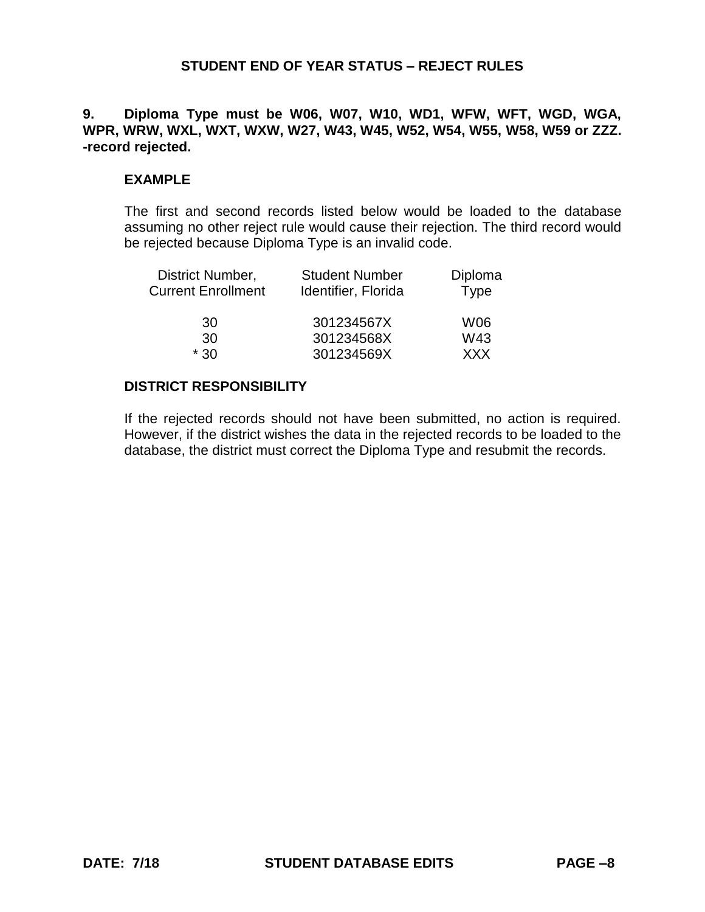# **9. Diploma Type must be W06, W07, W10, WD1, WFW, WFT, WGD, WGA, WPR, WRW, WXL, WXT, WXW, W27, W43, W45, W52, W54, W55, W58, W59 or ZZZ. -record rejected.**

### **EXAMPLE**

The first and second records listed below would be loaded to the database assuming no other reject rule would cause their rejection. The third record would be rejected because Diploma Type is an invalid code.

| District Number,          | <b>Student Number</b> | Diploma     |
|---------------------------|-----------------------|-------------|
| <b>Current Enrollment</b> | Identifier, Florida   | <b>Type</b> |
| 30                        | 301234567X            | W06         |
| 30                        | 301234568X            | W43         |
| $*30$                     | 301234569X            | <b>XXX</b>  |

### **DISTRICT RESPONSIBILITY**

If the rejected records should not have been submitted, no action is required. However, if the district wishes the data in the rejected records to be loaded to the database, the district must correct the Diploma Type and resubmit the records.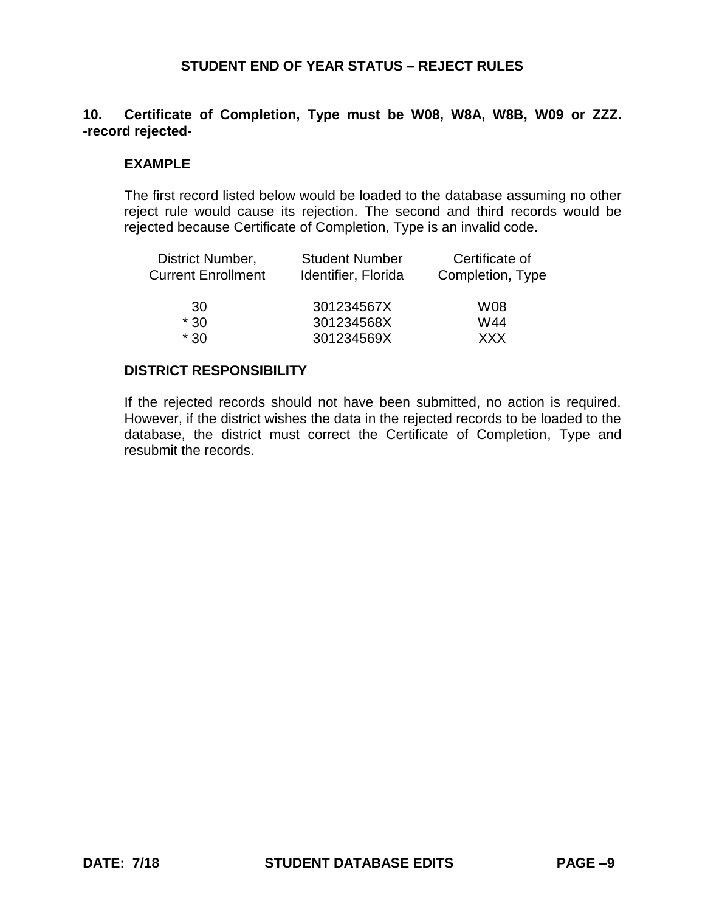# **10. Certificate of Completion, Type must be W08, W8A, W8B, W09 or ZZZ. -record rejected-**

## **EXAMPLE**

The first record listed below would be loaded to the database assuming no other reject rule would cause its rejection. The second and third records would be rejected because Certificate of Completion, Type is an invalid code.

| District Number,          | <b>Student Number</b> | Certificate of   |
|---------------------------|-----------------------|------------------|
| <b>Current Enrollment</b> | Identifier, Florida   | Completion, Type |
| 30                        | 301234567X            | W08              |
| $*30$                     | 301234568X            | W44              |
| $*30$                     | 301234569X            | <b>XXX</b>       |

#### **DISTRICT RESPONSIBILITY**

If the rejected records should not have been submitted, no action is required. However, if the district wishes the data in the rejected records to be loaded to the database, the district must correct the Certificate of Completion, Type and resubmit the records.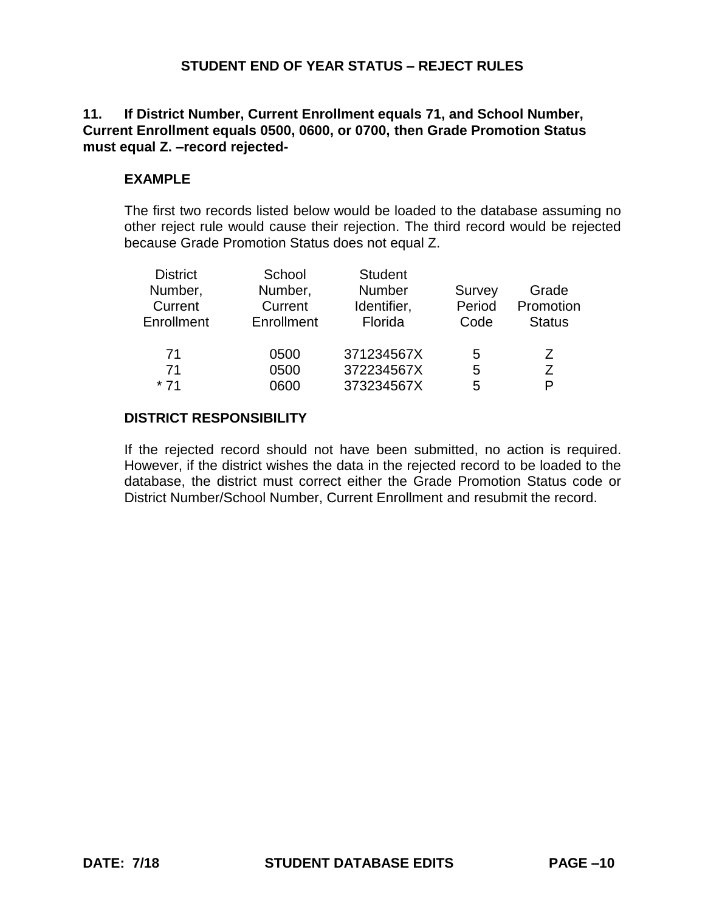## **11. If District Number, Current Enrollment equals 71, and School Number, Current Enrollment equals 0500, 0600, or 0700, then Grade Promotion Status must equal Z. –record rejected-**

# **EXAMPLE**

The first two records listed below would be loaded to the database assuming no other reject rule would cause their rejection. The third record would be rejected because Grade Promotion Status does not equal Z.

| <b>District</b><br>Number,<br>Current<br>Enrollment | School<br>Number,<br>Current<br>Enrollment | <b>Student</b><br>Number<br>Identifier,<br>Florida | Survey<br>Period<br>Code | Grade<br>Promotion<br><b>Status</b> |
|-----------------------------------------------------|--------------------------------------------|----------------------------------------------------|--------------------------|-------------------------------------|
| 71                                                  | 0500                                       | 371234567X                                         | 5                        | Ζ                                   |
| 71                                                  | 0500                                       | 372234567X                                         | 5                        | 7                                   |
| $*71$                                               | 0600                                       | 373234567X                                         | 5                        | D                                   |

# **DISTRICT RESPONSIBILITY**

If the rejected record should not have been submitted, no action is required. However, if the district wishes the data in the rejected record to be loaded to the database, the district must correct either the Grade Promotion Status code or District Number/School Number, Current Enrollment and resubmit the record.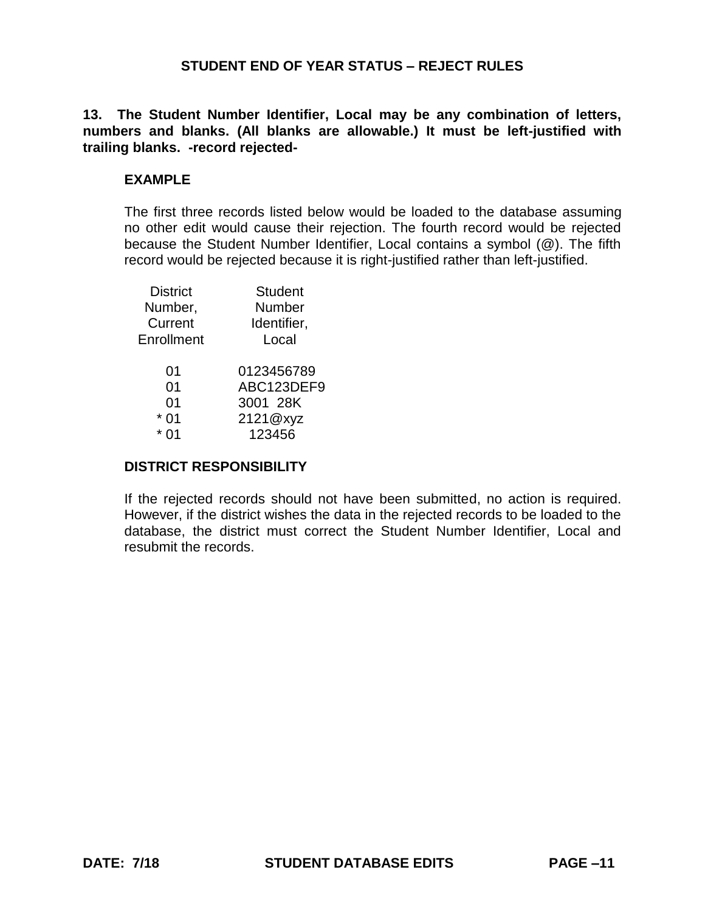**13. The Student Number Identifier, Local may be any combination of letters, numbers and blanks. (All blanks are allowable.) It must be left-justified with trailing blanks. -record rejected-**

### **EXAMPLE**

The first three records listed below would be loaded to the database assuming no other edit would cause their rejection. The fourth record would be rejected because the Student Number Identifier, Local contains a symbol (@). The fifth record would be rejected because it is right-justified rather than left-justified.

| <b>District</b> | <b>Student</b> |
|-----------------|----------------|
| Number,         | Number         |
| Current         | Identifier,    |
| Enrollment      | Local          |
| 01              | 0123456789     |
| 0 <sub>1</sub>  | ABC123DEF9     |
| 01              | 3001 28K       |
| 0 <sub>1</sub>  | 2121@xyz       |
|                 | 123456         |
|                 |                |

#### **DISTRICT RESPONSIBILITY**

If the rejected records should not have been submitted, no action is required. However, if the district wishes the data in the rejected records to be loaded to the database, the district must correct the Student Number Identifier, Local and resubmit the records.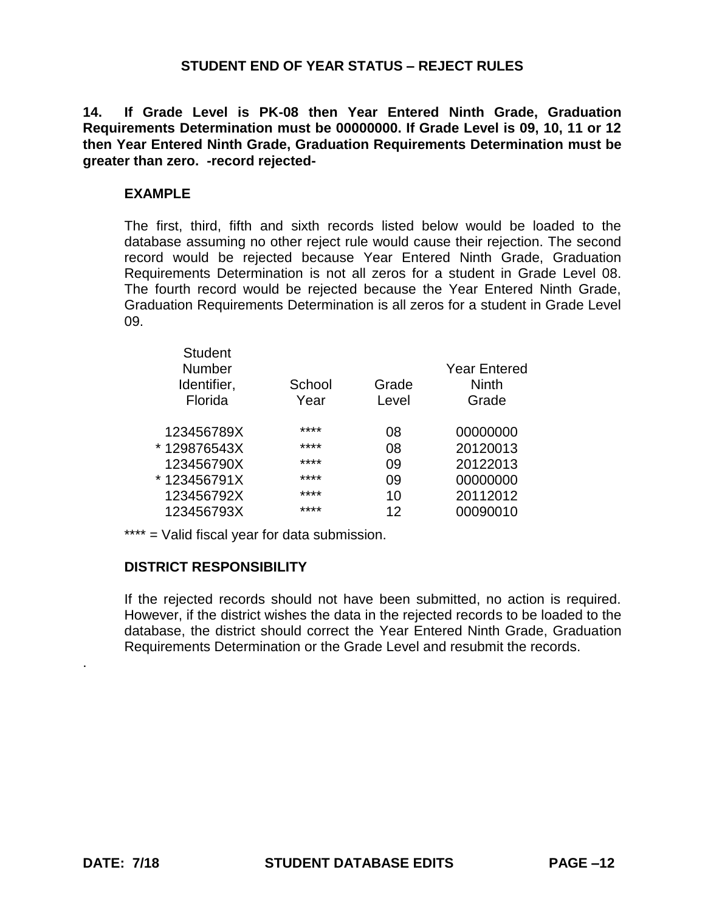**14. If Grade Level is PK-08 then Year Entered Ninth Grade, Graduation Requirements Determination must be 00000000. If Grade Level is 09, 10, 11 or 12 then Year Entered Ninth Grade, Graduation Requirements Determination must be greater than zero. -record rejected-**

#### **EXAMPLE**

The first, third, fifth and sixth records listed below would be loaded to the database assuming no other reject rule would cause their rejection. The second record would be rejected because Year Entered Ninth Grade, Graduation Requirements Determination is not all zeros for a student in Grade Level 08. The fourth record would be rejected because the Year Entered Ninth Grade, Graduation Requirements Determination is all zeros for a student in Grade Level 09.

| <b>Student</b><br><b>Number</b><br>Identifier,<br>Florida | School<br>Year | Grade<br>Level | <b>Year Entered</b><br><b>Ninth</b><br>Grade |
|-----------------------------------------------------------|----------------|----------------|----------------------------------------------|
| 123456789X                                                | ****           | 08             | 00000000                                     |
| *129876543X                                               | ****           | 08             | 20120013                                     |
| 123456790X                                                | ****           | 09             | 20122013                                     |
| *123456791X                                               | ****           | 09             | 00000000                                     |
| 123456792X                                                | ****           | 10             | 20112012                                     |
| 123456793X                                                | ****           | 12             | 00090010                                     |
|                                                           |                |                |                                              |

\*\*\*\* = Valid fiscal year for data submission.

#### **DISTRICT RESPONSIBILITY**

If the rejected records should not have been submitted, no action is required. However, if the district wishes the data in the rejected records to be loaded to the database, the district should correct the Year Entered Ninth Grade, Graduation Requirements Determination or the Grade Level and resubmit the records.

.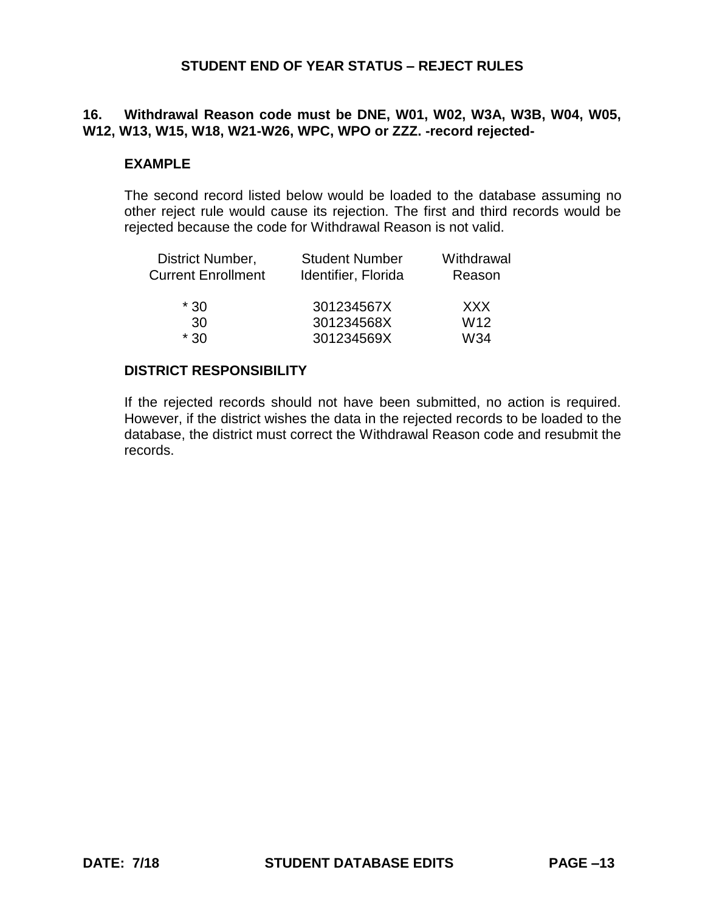# **16. Withdrawal Reason code must be DNE, W01, W02, W3A, W3B, W04, W05, W12, W13, W15, W18, W21-W26, WPC, WPO or ZZZ. -record rejected-**

## **EXAMPLE**

The second record listed below would be loaded to the database assuming no other reject rule would cause its rejection. The first and third records would be rejected because the code for Withdrawal Reason is not valid.

| District Number,          | <b>Student Number</b> | Withdrawal |
|---------------------------|-----------------------|------------|
| <b>Current Enrollment</b> | Identifier, Florida   | Reason     |
| $*30$                     | 301234567X            | <b>XXX</b> |
| 30                        | 301234568X            | W12        |
| $*30$                     | 301234569X            | W34        |

#### **DISTRICT RESPONSIBILITY**

If the rejected records should not have been submitted, no action is required. However, if the district wishes the data in the rejected records to be loaded to the database, the district must correct the Withdrawal Reason code and resubmit the records.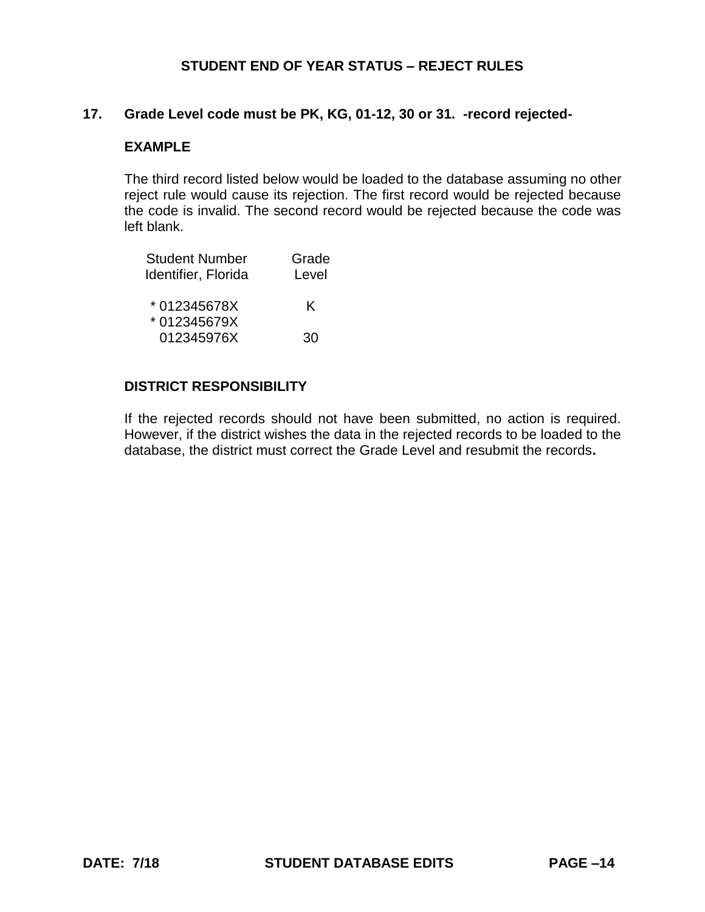### **17. Grade Level code must be PK, KG, 01-12, 30 or 31. -record rejected-**

### **EXAMPLE**

The third record listed below would be loaded to the database assuming no other reject rule would cause its rejection. The first record would be rejected because the code is invalid. The second record would be rejected because the code was left blank.

| <b>Student Number</b> | Grade |
|-----------------------|-------|
| Identifier, Florida   | Level |
| *012345678X           | K     |
| * 012345679X          |       |
| 012345976X            | 30    |

### **DISTRICT RESPONSIBILITY**

If the rejected records should not have been submitted, no action is required. However, if the district wishes the data in the rejected records to be loaded to the database, the district must correct the Grade Level and resubmit the records**.**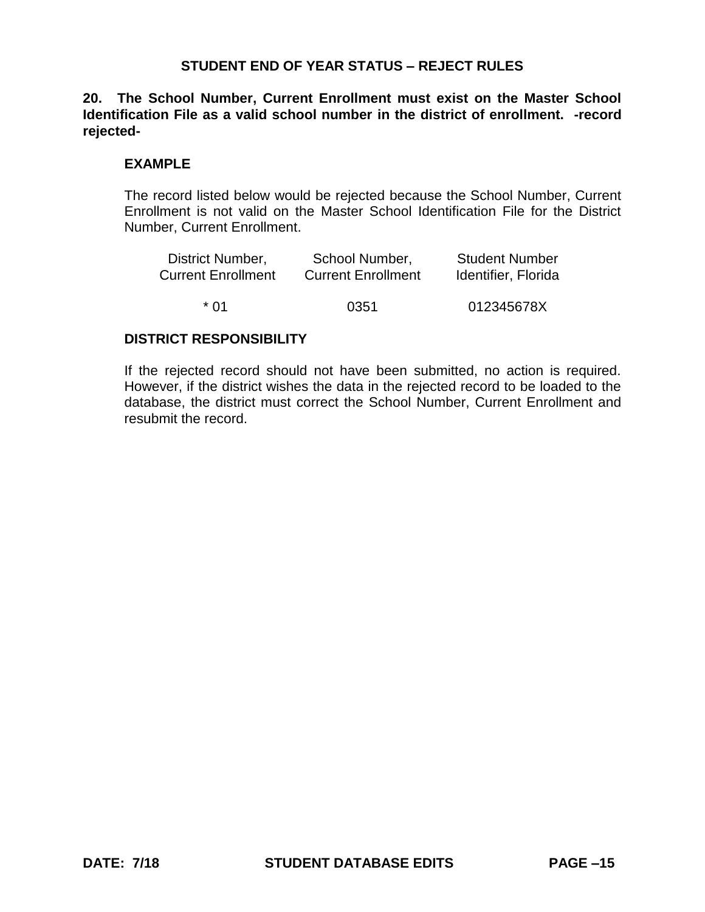**20. The School Number, Current Enrollment must exist on the Master School Identification File as a valid school number in the district of enrollment. -record rejected-**

### **EXAMPLE**

The record listed below would be rejected because the School Number, Current Enrollment is not valid on the Master School Identification File for the District Number, Current Enrollment.

| District Number,          | School Number,            | <b>Student Number</b> |
|---------------------------|---------------------------|-----------------------|
| <b>Current Enrollment</b> | <b>Current Enrollment</b> | Identifier, Florida   |
| * በ1                      | 0351                      | 012345678X            |

### **DISTRICT RESPONSIBILITY**

If the rejected record should not have been submitted, no action is required. However, if the district wishes the data in the rejected record to be loaded to the database, the district must correct the School Number, Current Enrollment and resubmit the record.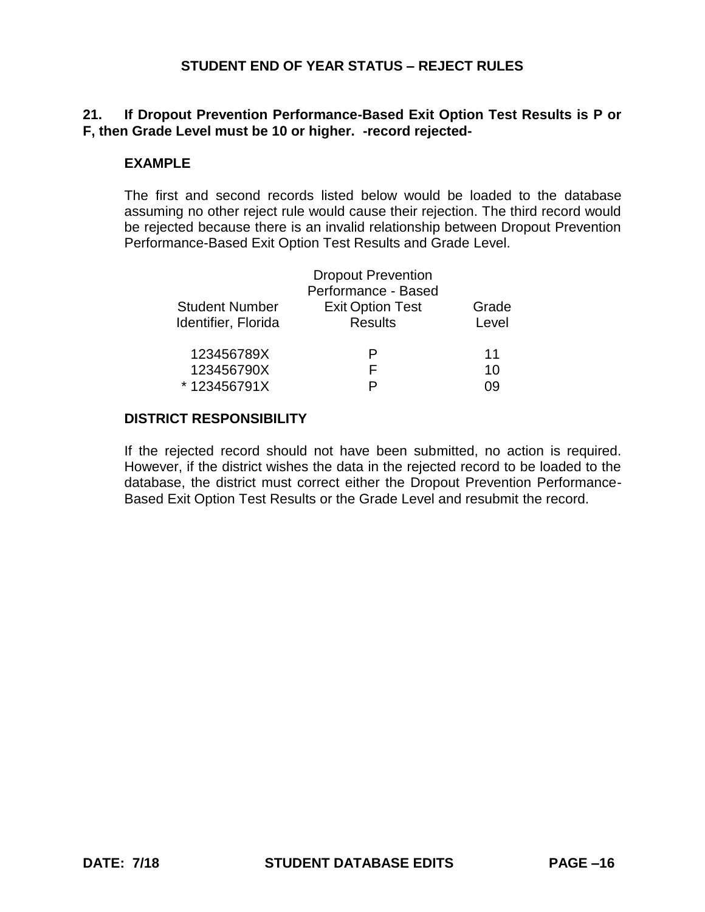# **21. If Dropout Prevention Performance-Based Exit Option Test Results is P or F, then Grade Level must be 10 or higher. -record rejected-**

## **EXAMPLE**

The first and second records listed below would be loaded to the database assuming no other reject rule would cause their rejection. The third record would be rejected because there is an invalid relationship between Dropout Prevention Performance-Based Exit Option Test Results and Grade Level.

|                       | <b>Dropout Prevention</b> |       |
|-----------------------|---------------------------|-------|
|                       | Performance - Based       |       |
| <b>Student Number</b> | <b>Exit Option Test</b>   | Grade |
| Identifier, Florida   | <b>Results</b>            | Level |
| 123456789X            | P                         | 11    |
| 123456790X            | F                         | 10    |
| *123456791X           |                           | ng    |

## **DISTRICT RESPONSIBILITY**

If the rejected record should not have been submitted, no action is required. However, if the district wishes the data in the rejected record to be loaded to the database, the district must correct either the Dropout Prevention Performance-Based Exit Option Test Results or the Grade Level and resubmit the record.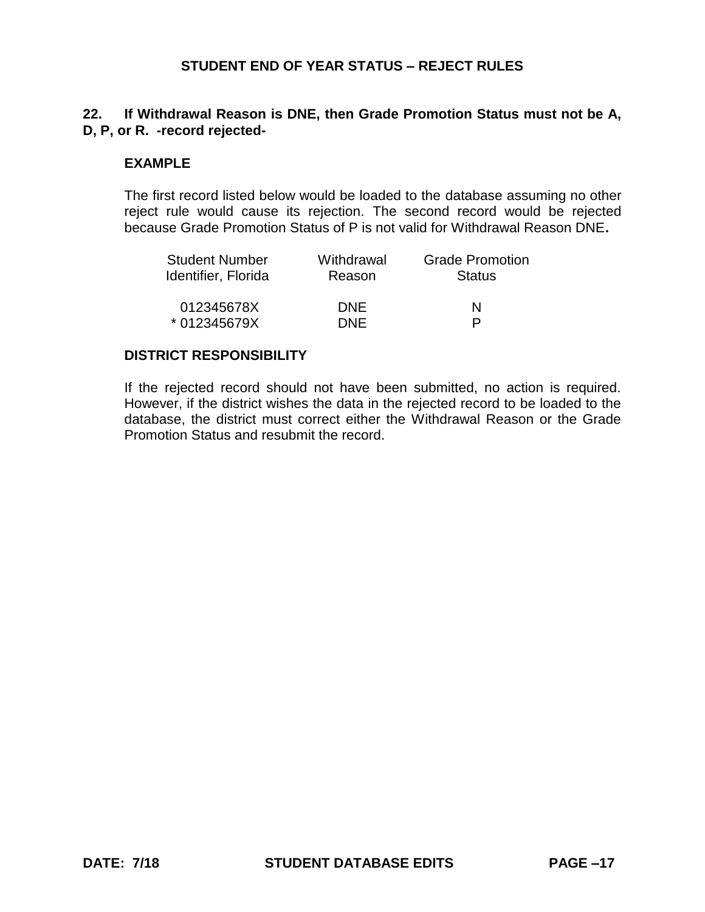# **22. If Withdrawal Reason is DNE, then Grade Promotion Status must not be A, D, P, or R. -record rejected-**

### **EXAMPLE**

The first record listed below would be loaded to the database assuming no other reject rule would cause its rejection. The second record would be rejected because Grade Promotion Status of P is not valid for Withdrawal Reason DNE**.**

| Withdrawal<br>Reason | <b>Grade Promotion</b><br><b>Status</b> |
|----------------------|-----------------------------------------|
| <b>DNF</b>           | N<br>P                                  |
|                      | <b>DNF</b>                              |

#### **DISTRICT RESPONSIBILITY**

If the rejected record should not have been submitted, no action is required. However, if the district wishes the data in the rejected record to be loaded to the database, the district must correct either the Withdrawal Reason or the Grade Promotion Status and resubmit the record.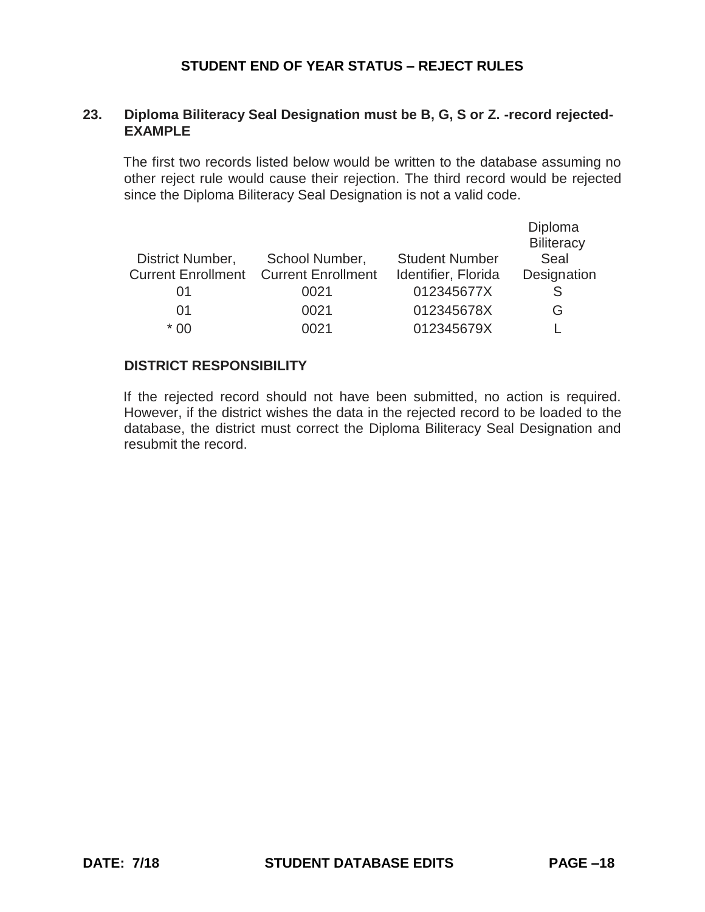## **23. Diploma Biliteracy Seal Designation must be B, G, S or Z. -record rejected-EXAMPLE**

The first two records listed below would be written to the database assuming no other reject rule would cause their rejection. The third record would be rejected since the Diploma Biliteracy Seal Designation is not a valid code.

|                           |                           |                       | Diploma           |
|---------------------------|---------------------------|-----------------------|-------------------|
|                           |                           |                       | <b>Biliteracy</b> |
| District Number,          | School Number,            | <b>Student Number</b> | Seal              |
| <b>Current Enrollment</b> | <b>Current Enrollment</b> | Identifier, Florida   | Designation       |
| 01                        | 0021                      | 012345677X            |                   |
| $\Omega$ 1                | 0021                      | 012345678X            | G                 |
| * በበ                      | 0021                      | 012345679X            |                   |

### **DISTRICT RESPONSIBILITY**

If the rejected record should not have been submitted, no action is required. However, if the district wishes the data in the rejected record to be loaded to the database, the district must correct the Diploma Biliteracy Seal Designation and resubmit the record.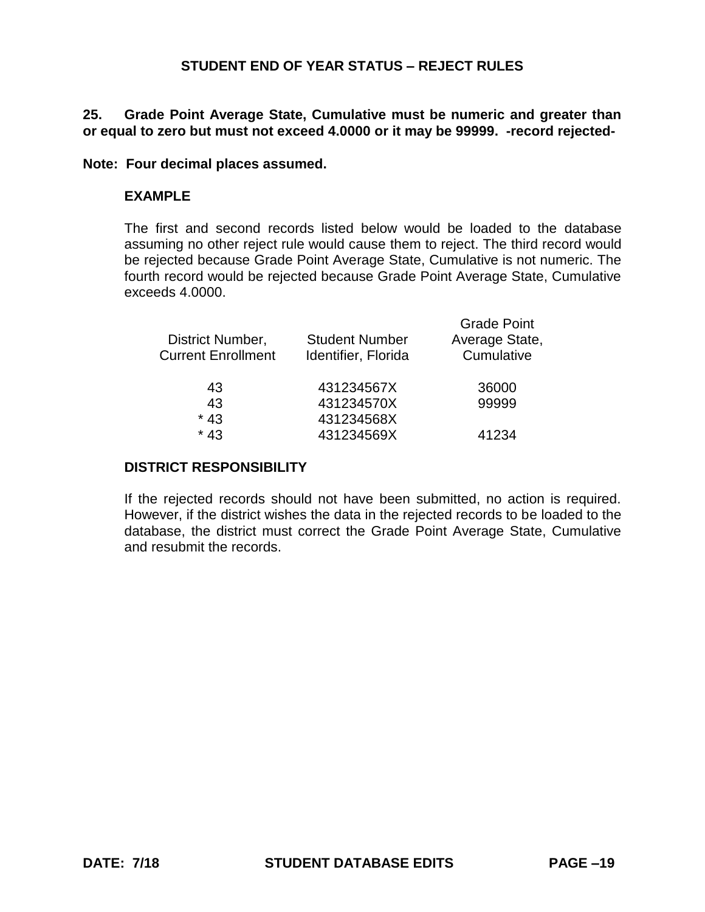## **25. Grade Point Average State, Cumulative must be numeric and greater than or equal to zero but must not exceed 4.0000 or it may be 99999. -record rejected-**

#### **Note: Four decimal places assumed.**

### **EXAMPLE**

The first and second records listed below would be loaded to the database assuming no other reject rule would cause them to reject. The third record would be rejected because Grade Point Average State, Cumulative is not numeric. The fourth record would be rejected because Grade Point Average State, Cumulative exceeds 4.0000.

| District Number,<br><b>Current Enrollment</b> | <b>Student Number</b><br>Identifier, Florida | <b>Grade Point</b><br>Average State,<br>Cumulative |
|-----------------------------------------------|----------------------------------------------|----------------------------------------------------|
| 43                                            | 431234567X                                   | 36000                                              |
| 43                                            | 431234570X                                   | 99999                                              |
| $*43$                                         | 431234568X                                   |                                                    |
| $*43$                                         | 431234569X                                   | 41234                                              |
|                                               |                                              |                                                    |

# **DISTRICT RESPONSIBILITY**

If the rejected records should not have been submitted, no action is required. However, if the district wishes the data in the rejected records to be loaded to the database, the district must correct the Grade Point Average State, Cumulative and resubmit the records.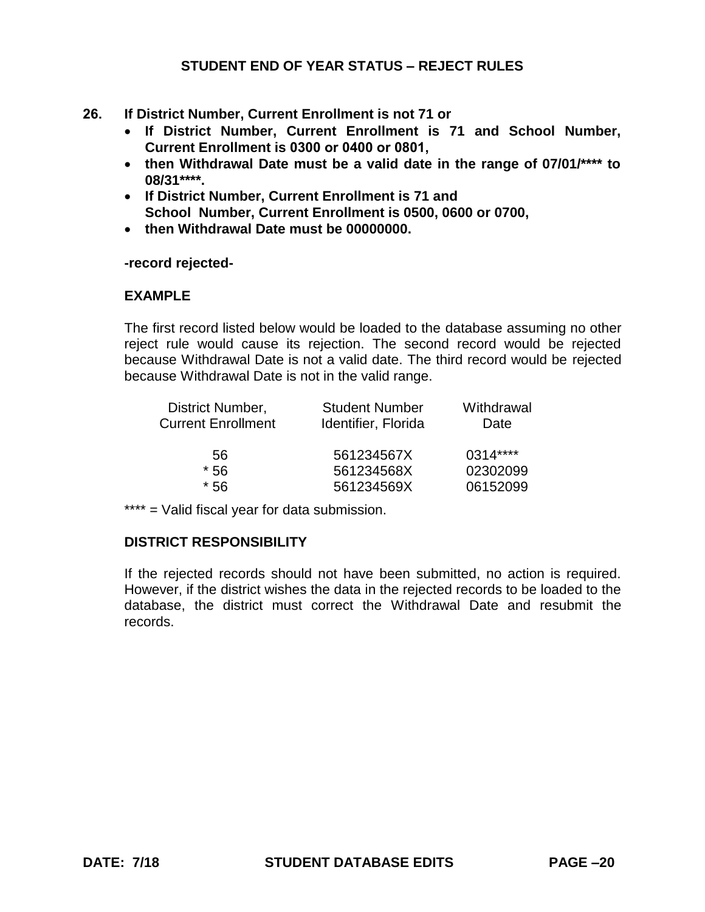- **26. If District Number, Current Enrollment is not 71 or**
	- **If District Number, Current Enrollment is 71 and School Number, Current Enrollment is 0300 or 0400 or 0801,**
	- **then Withdrawal Date must be a valid date in the range of 07/01/\*\*\*\* to 08/31\*\*\*\*.**
	- **If District Number, Current Enrollment is 71 and School Number, Current Enrollment is 0500, 0600 or 0700,**
	- **then Withdrawal Date must be 00000000.**

**-record rejected-**

### **EXAMPLE**

The first record listed below would be loaded to the database assuming no other reject rule would cause its rejection. The second record would be rejected because Withdrawal Date is not a valid date. The third record would be rejected because Withdrawal Date is not in the valid range.

| District Number,          | <b>Student Number</b> | Withdrawal |
|---------------------------|-----------------------|------------|
| <b>Current Enrollment</b> | Identifier, Florida   | Date       |
| 56                        | 561234567X            | 0314****   |
| * 56                      | 561234568X            | 02302099   |
| $*56$                     | 561234569X            | 06152099   |

\*\*\*\* = Valid fiscal year for data submission.

# **DISTRICT RESPONSIBILITY**

If the rejected records should not have been submitted, no action is required. However, if the district wishes the data in the rejected records to be loaded to the database, the district must correct the Withdrawal Date and resubmit the records.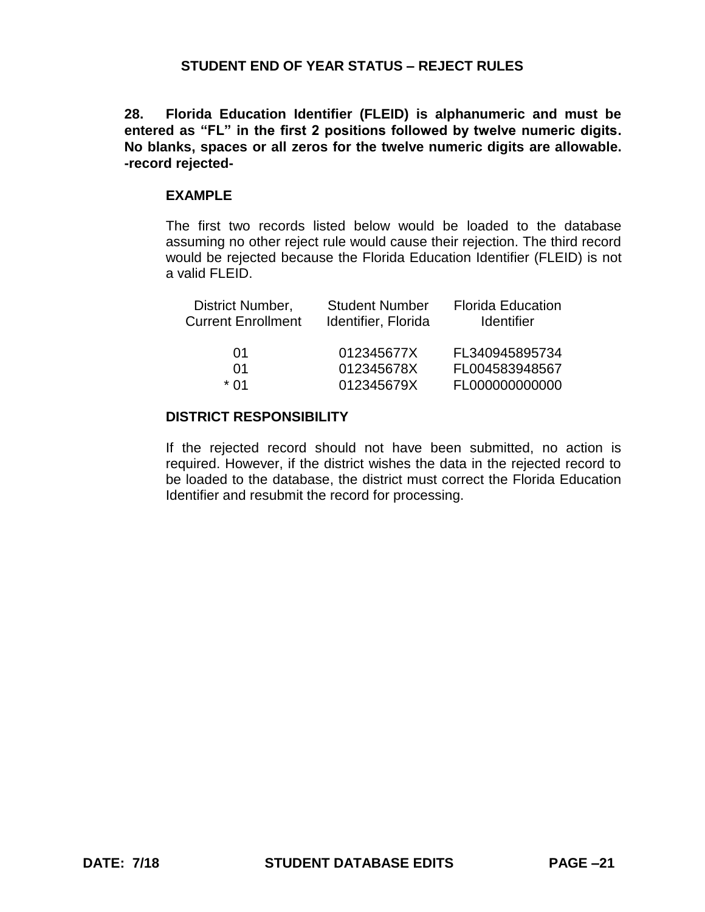**28. Florida Education Identifier (FLEID) is alphanumeric and must be entered as "FL" in the first 2 positions followed by twelve numeric digits. No blanks, spaces or all zeros for the twelve numeric digits are allowable. -record rejected-**

#### **EXAMPLE**

The first two records listed below would be loaded to the database assuming no other reject rule would cause their rejection. The third record would be rejected because the Florida Education Identifier (FLEID) is not a valid FLFID.

| District Number,<br><b>Current Enrollment</b> | <b>Student Number</b><br>Identifier, Florida | <b>Florida Education</b><br><b>Identifier</b> |
|-----------------------------------------------|----------------------------------------------|-----------------------------------------------|
| 01                                            | 012345677X                                   | FL340945895734                                |
| 01                                            | 012345678X                                   | FL004583948567                                |
| $*$ 01                                        | 012345679X                                   | FL000000000000                                |

### **DISTRICT RESPONSIBILITY**

If the rejected record should not have been submitted, no action is required. However, if the district wishes the data in the rejected record to be loaded to the database, the district must correct the Florida Education Identifier and resubmit the record for processing.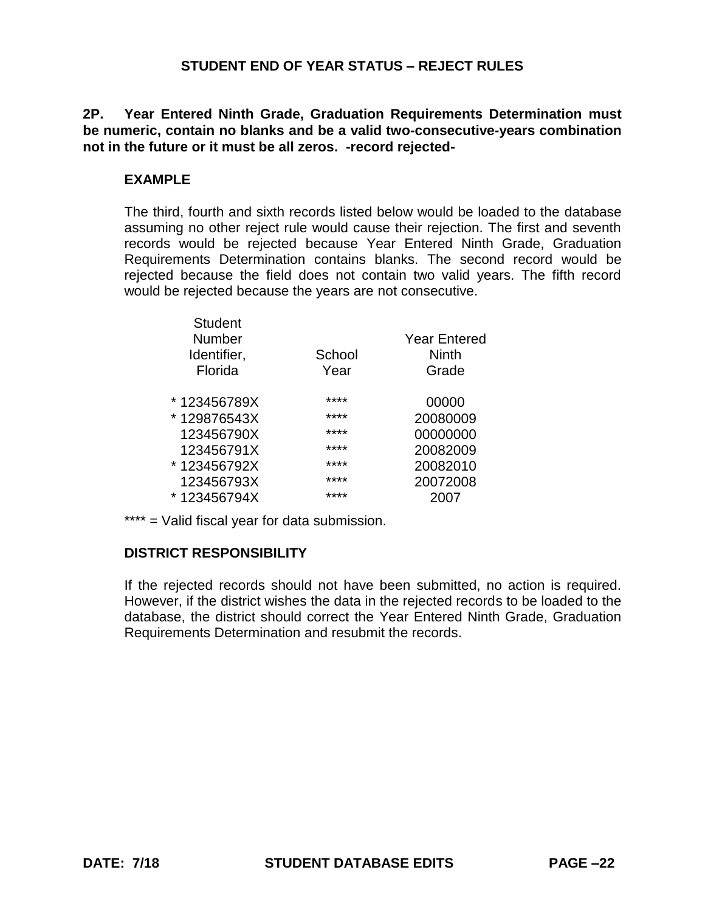**2P. Year Entered Ninth Grade, Graduation Requirements Determination must be numeric, contain no blanks and be a valid two-consecutive-years combination not in the future or it must be all zeros. -record rejected-**

# **EXAMPLE**

The third, fourth and sixth records listed below would be loaded to the database assuming no other reject rule would cause their rejection. The first and seventh records would be rejected because Year Entered Ninth Grade, Graduation Requirements Determination contains blanks. The second record would be rejected because the field does not contain two valid years. The fifth record would be rejected because the years are not consecutive.

|        | <b>Year Entered</b> |
|--------|---------------------|
| School | Ninth               |
| Year   | Grade               |
| ****   | 00000               |
| ****   | 20080009            |
| ****   | 00000000            |
| ****   | 20082009            |
| ****   | 20082010            |
| ****   | 20072008            |
| ****   | 2007                |
|        |                     |

\*\*\*\* = Valid fiscal year for data submission.

# **DISTRICT RESPONSIBILITY**

If the rejected records should not have been submitted, no action is required. However, if the district wishes the data in the rejected records to be loaded to the database, the district should correct the Year Entered Ninth Grade, Graduation Requirements Determination and resubmit the records.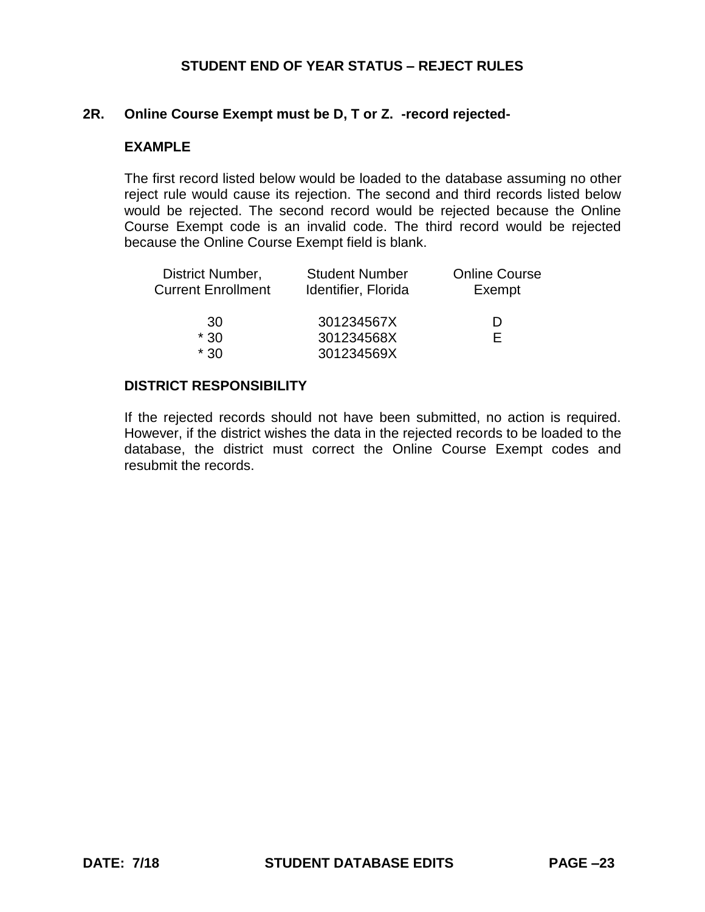### **2R. Online Course Exempt must be D, T or Z. -record rejected-**

### **EXAMPLE**

The first record listed below would be loaded to the database assuming no other reject rule would cause its rejection. The second and third records listed below would be rejected. The second record would be rejected because the Online Course Exempt code is an invalid code. The third record would be rejected because the Online Course Exempt field is blank.

| <b>Student Number</b><br>Identifier, Florida | <b>Online Course</b><br>Exempt |
|----------------------------------------------|--------------------------------|
| 301234567X                                   | Ð                              |
| 301234568X                                   | E                              |
| 301234569X                                   |                                |
|                                              |                                |

### **DISTRICT RESPONSIBILITY**

If the rejected records should not have been submitted, no action is required. However, if the district wishes the data in the rejected records to be loaded to the database, the district must correct the Online Course Exempt codes and resubmit the records.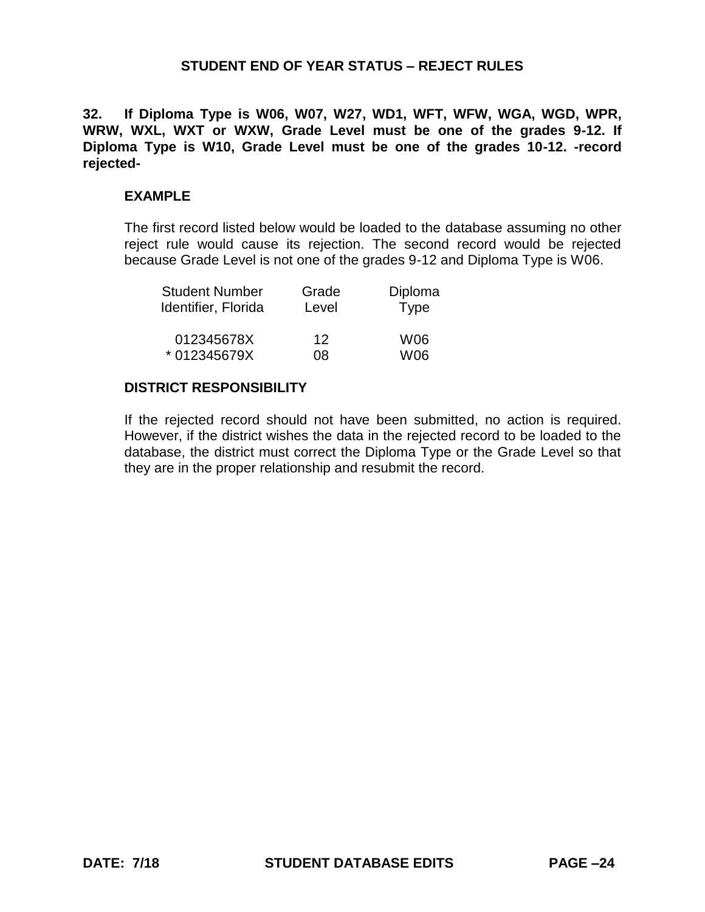**32. If Diploma Type is W06, W07, W27, WD1, WFT, WFW, WGA, WGD, WPR, WRW, WXL, WXT or WXW, Grade Level must be one of the grades 9-12. If Diploma Type is W10, Grade Level must be one of the grades 10-12. -record rejected-**

#### **EXAMPLE**

The first record listed below would be loaded to the database assuming no other reject rule would cause its rejection. The second record would be rejected because Grade Level is not one of the grades 9-12 and Diploma Type is W06.

| <b>Student Number</b> | Grade           | Diploma     |
|-----------------------|-----------------|-------------|
| Identifier, Florida   | Level           | <b>Type</b> |
| 012345678X            | 12 <sub>2</sub> | W06         |
| * 012345679X          | 08              | W06         |

#### **DISTRICT RESPONSIBILITY**

If the rejected record should not have been submitted, no action is required. However, if the district wishes the data in the rejected record to be loaded to the database, the district must correct the Diploma Type or the Grade Level so that they are in the proper relationship and resubmit the record.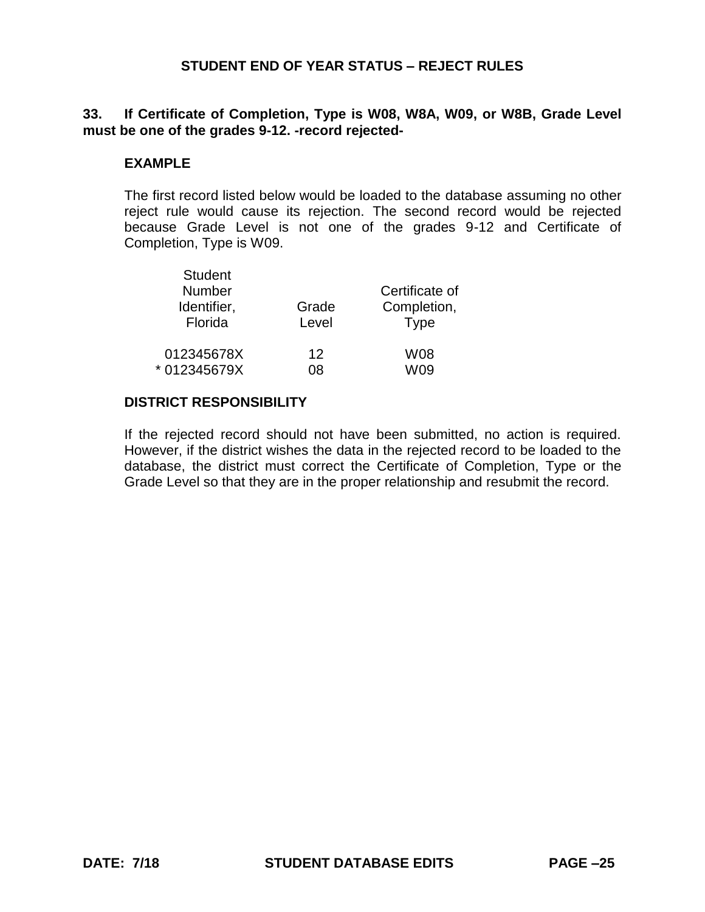# **33. If Certificate of Completion, Type is W08, W8A, W09, or W8B, Grade Level must be one of the grades 9-12. -record rejected-**

### **EXAMPLE**

The first record listed below would be loaded to the database assuming no other reject rule would cause its rejection. The second record would be rejected because Grade Level is not one of the grades 9-12 and Certificate of Completion, Type is W09.

| Student<br><b>Number</b><br>Identifier,<br>Florida | Grade<br>Level |     |
|----------------------------------------------------|----------------|-----|
| 012345678X                                         | 12             | W08 |
| * 012345679X                                       | 0ጸ             | W09 |

#### **DISTRICT RESPONSIBILITY**

 $\sim$   $\sim$ 

If the rejected record should not have been submitted, no action is required. However, if the district wishes the data in the rejected record to be loaded to the database, the district must correct the Certificate of Completion, Type or the Grade Level so that they are in the proper relationship and resubmit the record.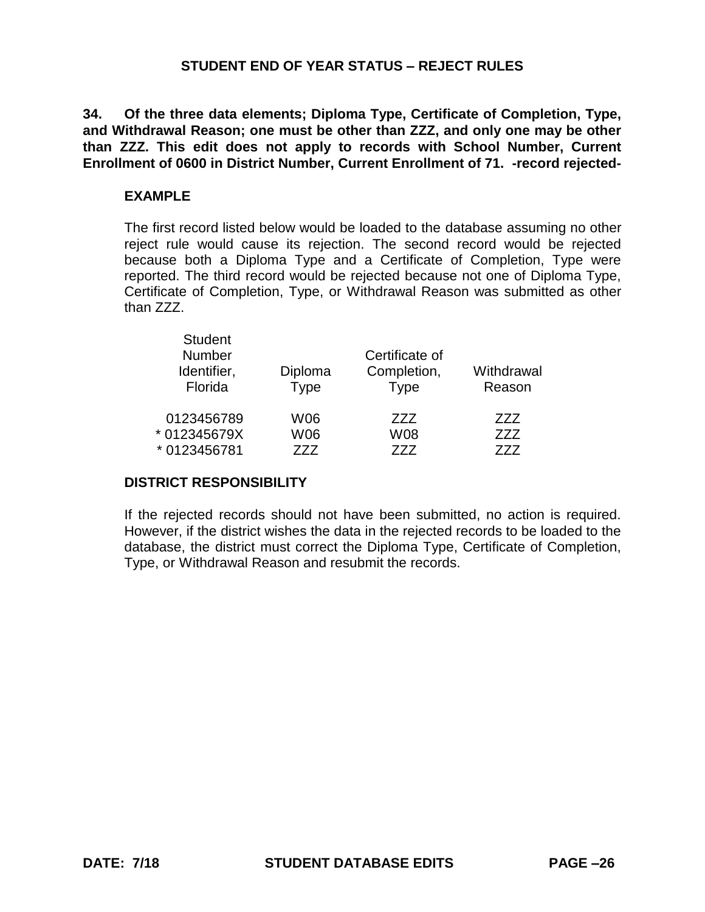**34. Of the three data elements; Diploma Type, Certificate of Completion, Type, and Withdrawal Reason; one must be other than ZZZ, and only one may be other than ZZZ. This edit does not apply to records with School Number, Current Enrollment of 0600 in District Number, Current Enrollment of 71. -record rejected-**

### **EXAMPLE**

The first record listed below would be loaded to the database assuming no other reject rule would cause its rejection. The second record would be rejected because both a Diploma Type and a Certificate of Completion, Type were reported. The third record would be rejected because not one of Diploma Type, Certificate of Completion, Type, or Withdrawal Reason was submitted as other than ZZZ.

| <b>Student</b><br><b>Number</b> |             | Certificate of |            |
|---------------------------------|-------------|----------------|------------|
| Identifier,                     | Diploma     | Completion,    | Withdrawal |
| Florida                         | <b>Type</b> | <b>Type</b>    | Reason     |
| 0123456789                      | W06         | 777            | 777        |
| * 012345679X                    | W06         | W08            | 777        |
| * 0123456781                    | 777         | 777            | 777        |

# **DISTRICT RESPONSIBILITY**

If the rejected records should not have been submitted, no action is required. However, if the district wishes the data in the rejected records to be loaded to the database, the district must correct the Diploma Type, Certificate of Completion, Type, or Withdrawal Reason and resubmit the records.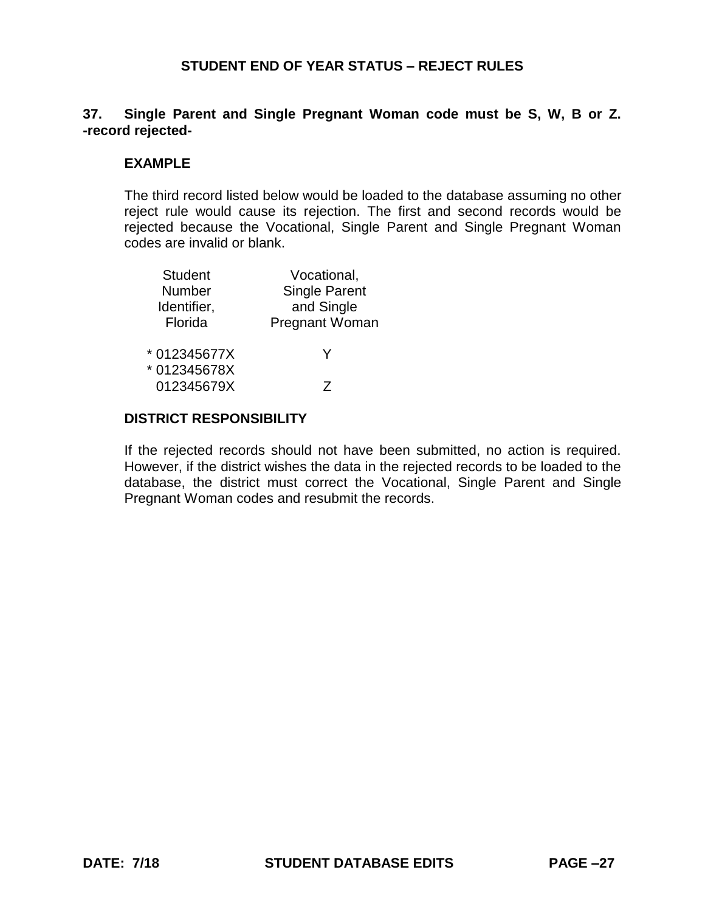# **37. Single Parent and Single Pregnant Woman code must be S, W, B or Z. -record rejected-**

# **EXAMPLE**

The third record listed below would be loaded to the database assuming no other reject rule would cause its rejection. The first and second records would be rejected because the Vocational, Single Parent and Single Pregnant Woman codes are invalid or blank.

| <b>Student</b> | Vocational,           |
|----------------|-----------------------|
| Number         | <b>Single Parent</b>  |
| Identifier,    | and Single            |
| Florida        | <b>Pregnant Woman</b> |
| * 012345677X   | Y                     |
| * 012345678X   |                       |
| 012345679X     |                       |

# **DISTRICT RESPONSIBILITY**

If the rejected records should not have been submitted, no action is required. However, if the district wishes the data in the rejected records to be loaded to the database, the district must correct the Vocational, Single Parent and Single Pregnant Woman codes and resubmit the records.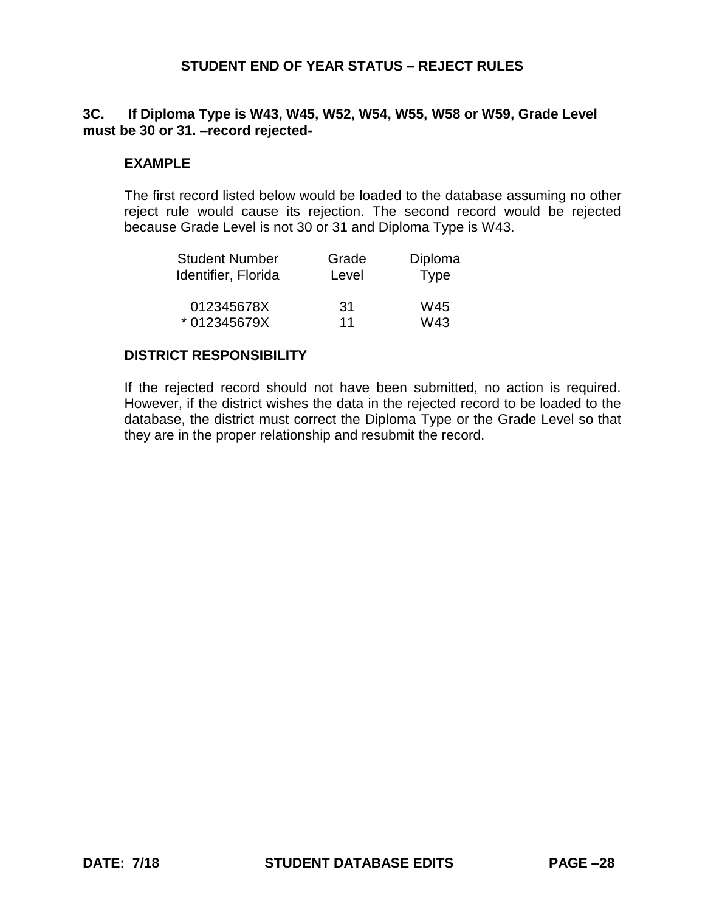## **3C. If Diploma Type is W43, W45, W52, W54, W55, W58 or W59, Grade Level must be 30 or 31. –record rejected-**

## **EXAMPLE**

The first record listed below would be loaded to the database assuming no other reject rule would cause its rejection. The second record would be rejected because Grade Level is not 30 or 31 and Diploma Type is W43.

| <b>Student Number</b> | Grade | Diploma     |
|-----------------------|-------|-------------|
| Identifier, Florida   | Level | <b>Type</b> |
|                       |       |             |
| 012345678X            | 31    | W45         |
| * 012345679X          | 11    | W43         |

### **DISTRICT RESPONSIBILITY**

If the rejected record should not have been submitted, no action is required. However, if the district wishes the data in the rejected record to be loaded to the database, the district must correct the Diploma Type or the Grade Level so that they are in the proper relationship and resubmit the record.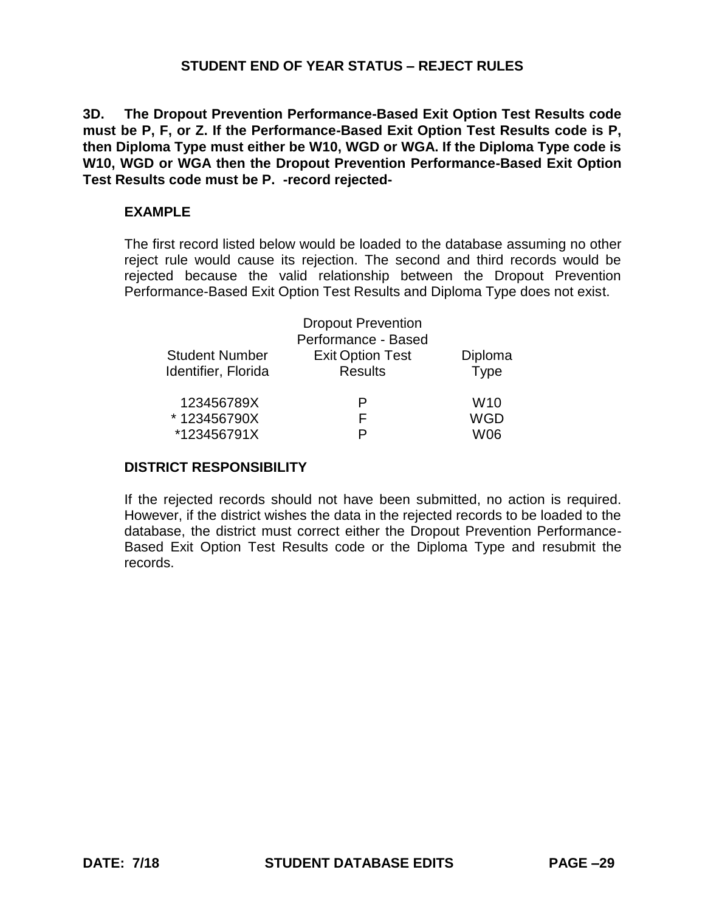**3D. The Dropout Prevention Performance-Based Exit Option Test Results code must be P, F, or Z. If the Performance-Based Exit Option Test Results code is P, then Diploma Type must either be W10, WGD or WGA. If the Diploma Type code is W10, WGD or WGA then the Dropout Prevention Performance-Based Exit Option Test Results code must be P. -record rejected-**

### **EXAMPLE**

The first record listed below would be loaded to the database assuming no other reject rule would cause its rejection. The second and third records would be rejected because the valid relationship between the Dropout Prevention Performance-Based Exit Option Test Results and Diploma Type does not exist.

|                       | <b>Dropout Prevention</b><br>Performance - Based |             |
|-----------------------|--------------------------------------------------|-------------|
| <b>Student Number</b> | <b>Exit Option Test</b>                          | Diploma     |
| Identifier, Florida   | <b>Results</b>                                   | <b>Type</b> |
| 123456789X            | Р                                                | W10         |
| *123456790X           | F                                                | <b>WGD</b>  |
| *123456791X           | P                                                | W06         |

# **DISTRICT RESPONSIBILITY**

If the rejected records should not have been submitted, no action is required. However, if the district wishes the data in the rejected records to be loaded to the database, the district must correct either the Dropout Prevention Performance-Based Exit Option Test Results code or the Diploma Type and resubmit the records.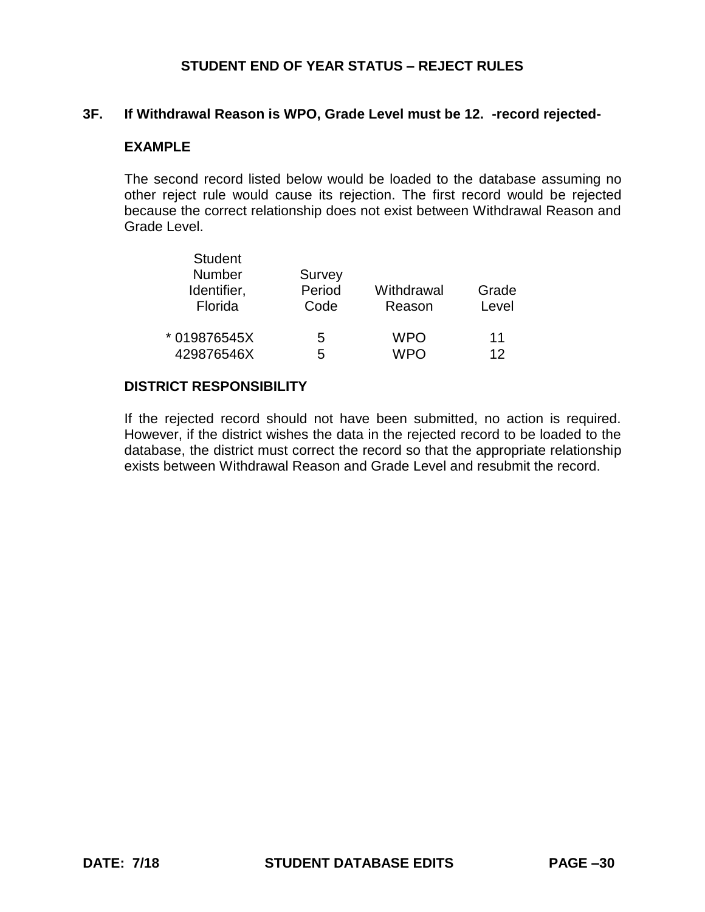### **3F. If Withdrawal Reason is WPO, Grade Level must be 12. -record rejected-**

### **EXAMPLE**

The second record listed below would be loaded to the database assuming no other reject rule would cause its rejection. The first record would be rejected because the correct relationship does not exist between Withdrawal Reason and Grade Level.

| <b>Student</b><br>Number<br>Identifier,<br>Florida | Survey<br>Period<br>Code | Withdrawal<br>Reason | Grade<br>Level  |
|----------------------------------------------------|--------------------------|----------------------|-----------------|
| * 019876545X                                       | 5                        | <b>WPO</b>           | 11              |
| 429876546X                                         | 5                        | <b>WPO</b>           | 12 <sup>°</sup> |

### **DISTRICT RESPONSIBILITY**

If the rejected record should not have been submitted, no action is required. However, if the district wishes the data in the rejected record to be loaded to the database, the district must correct the record so that the appropriate relationship exists between Withdrawal Reason and Grade Level and resubmit the record.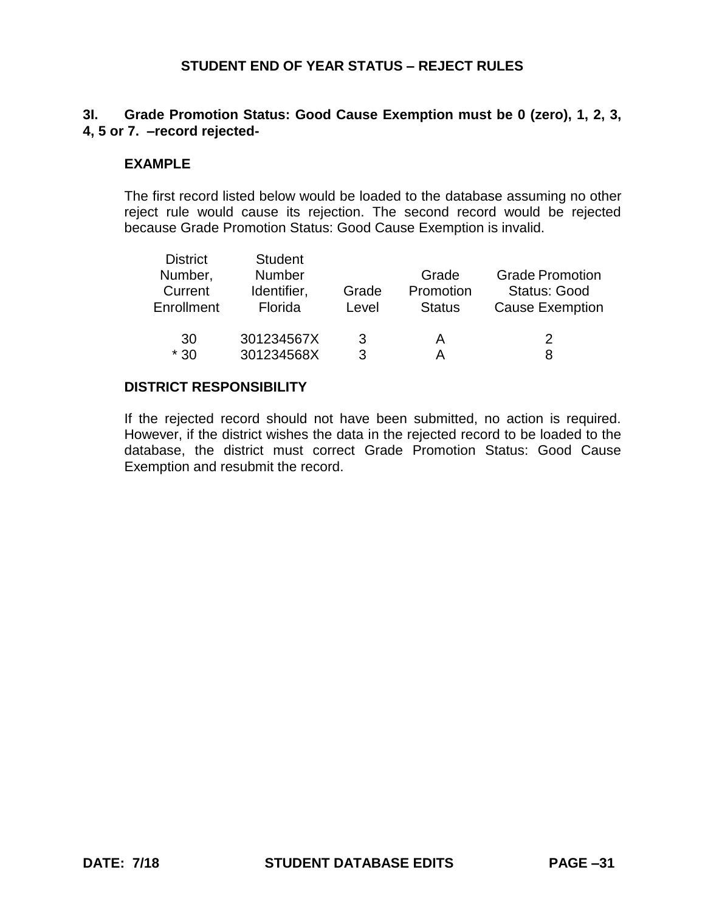# **3I. Grade Promotion Status: Good Cause Exemption must be 0 (zero), 1, 2, 3, 4, 5 or 7. –record rejected-**

## **EXAMPLE**

The first record listed below would be loaded to the database assuming no other reject rule would cause its rejection. The second record would be rejected because Grade Promotion Status: Good Cause Exemption is invalid.

| <b>District</b><br>Number,<br>Current<br>Enrollment | <b>Student</b><br><b>Number</b><br>Identifier,<br>Florida | Grade<br>Level | Grade<br>Promotion<br><b>Status</b> | <b>Grade Promotion</b><br><b>Status: Good</b><br><b>Cause Exemption</b> |
|-----------------------------------------------------|-----------------------------------------------------------|----------------|-------------------------------------|-------------------------------------------------------------------------|
| 30                                                  | 301234567X                                                | 3              | А                                   | 2                                                                       |
| $*30$                                               | 301234568X                                                | 3              | А                                   | 8                                                                       |

### **DISTRICT RESPONSIBILITY**

If the rejected record should not have been submitted, no action is required. However, if the district wishes the data in the rejected record to be loaded to the database, the district must correct Grade Promotion Status: Good Cause Exemption and resubmit the record.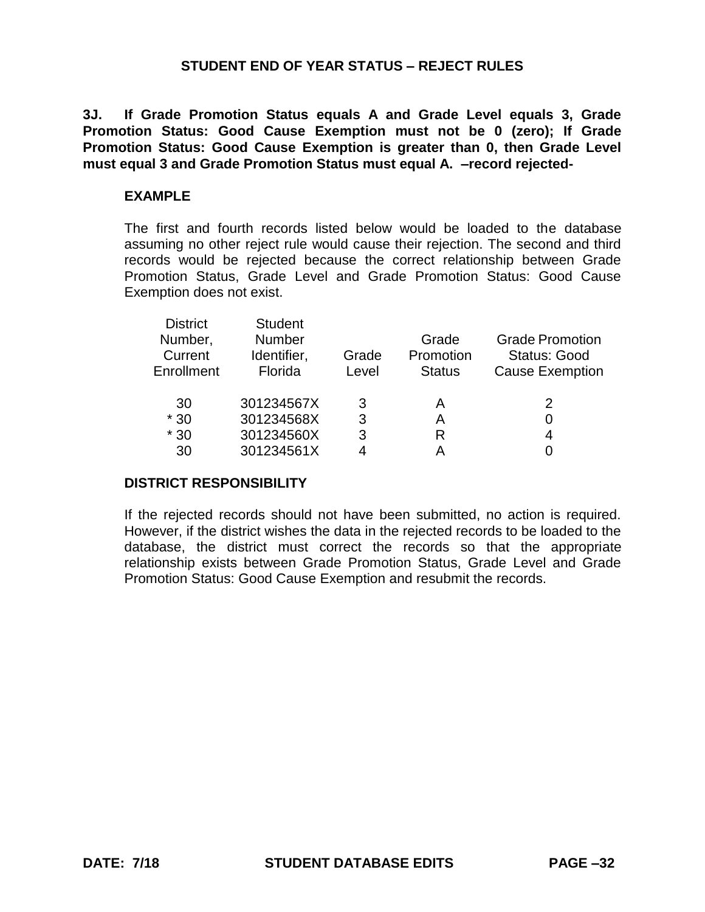**3J. If Grade Promotion Status equals A and Grade Level equals 3, Grade Promotion Status: Good Cause Exemption must not be 0 (zero); If Grade Promotion Status: Good Cause Exemption is greater than 0, then Grade Level must equal 3 and Grade Promotion Status must equal A. –record rejected-**

### **EXAMPLE**

The first and fourth records listed below would be loaded to the database assuming no other reject rule would cause their rejection. The second and third records would be rejected because the correct relationship between Grade Promotion Status, Grade Level and Grade Promotion Status: Good Cause Exemption does not exist.

| <b>District</b><br>Number,<br>Current<br>Enrollment | <b>Student</b><br><b>Number</b><br>Identifier,<br>Florida | Grade<br>Level | Grade<br>Promotion<br><b>Status</b> | <b>Grade Promotion</b><br><b>Status: Good</b><br><b>Cause Exemption</b> |
|-----------------------------------------------------|-----------------------------------------------------------|----------------|-------------------------------------|-------------------------------------------------------------------------|
| 30                                                  | 301234567X                                                | 3              | A                                   | 2                                                                       |
| $*30$                                               | 301234568X                                                | 3              | А                                   |                                                                         |
| $*30$                                               | 301234560X                                                | 3              | R                                   | 4                                                                       |
| 30                                                  | 301234561X                                                |                |                                     |                                                                         |
|                                                     |                                                           |                |                                     |                                                                         |

## **DISTRICT RESPONSIBILITY**

If the rejected records should not have been submitted, no action is required. However, if the district wishes the data in the rejected records to be loaded to the database, the district must correct the records so that the appropriate relationship exists between Grade Promotion Status, Grade Level and Grade Promotion Status: Good Cause Exemption and resubmit the records.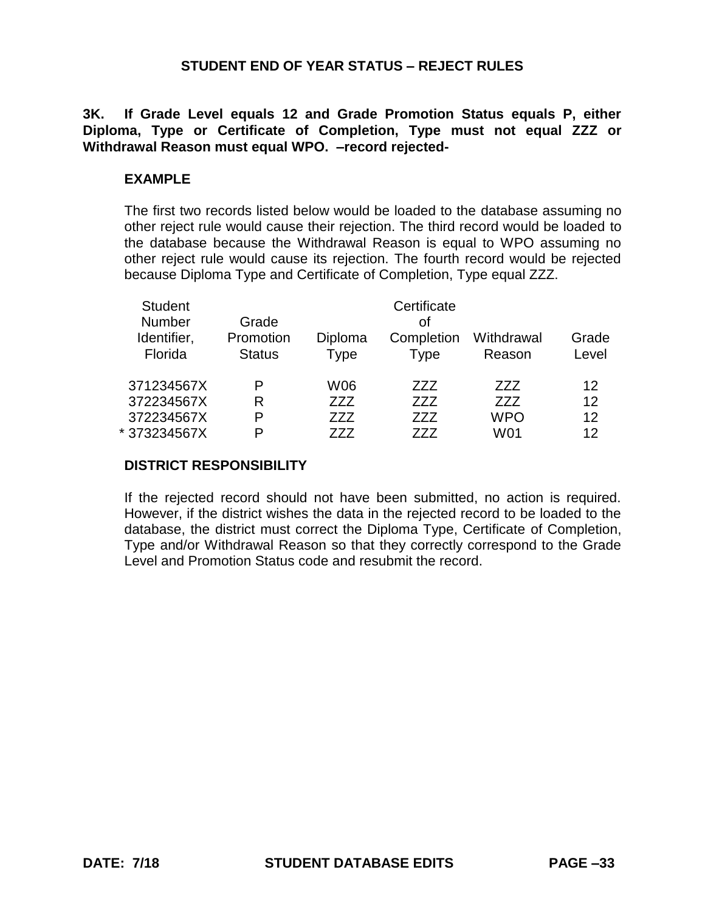**3K. If Grade Level equals 12 and Grade Promotion Status equals P, either Diploma, Type or Certificate of Completion, Type must not equal ZZZ or Withdrawal Reason must equal WPO. –record rejected-**

## **EXAMPLE**

The first two records listed below would be loaded to the database assuming no other reject rule would cause their rejection. The third record would be loaded to the database because the Withdrawal Reason is equal to WPO assuming no other reject rule would cause its rejection. The fourth record would be rejected because Diploma Type and Certificate of Completion, Type equal ZZZ.

| <b>Student</b><br><b>Number</b> | Grade         |            | Certificate<br>οf |            |       |
|---------------------------------|---------------|------------|-------------------|------------|-------|
| Identifier,                     | Promotion     | Diploma    | Completion        | Withdrawal | Grade |
| Florida                         | <b>Status</b> | Type       | <b>Type</b>       | Reason     | Level |
| 371234567X                      | P             | <b>W06</b> | ZZZ               | 777        | 12    |
| 372234567X                      | R             | ZZZ        | ZZZ               | ZZZ        | 12    |
| 372234567X                      | P             | ZZZ        | ZZZ               | <b>WPO</b> | 12    |
| *373234567X                     | P             | 777        | 777               | W01        | 12    |

# **DISTRICT RESPONSIBILITY**

If the rejected record should not have been submitted, no action is required. However, if the district wishes the data in the rejected record to be loaded to the database, the district must correct the Diploma Type, Certificate of Completion, Type and/or Withdrawal Reason so that they correctly correspond to the Grade Level and Promotion Status code and resubmit the record.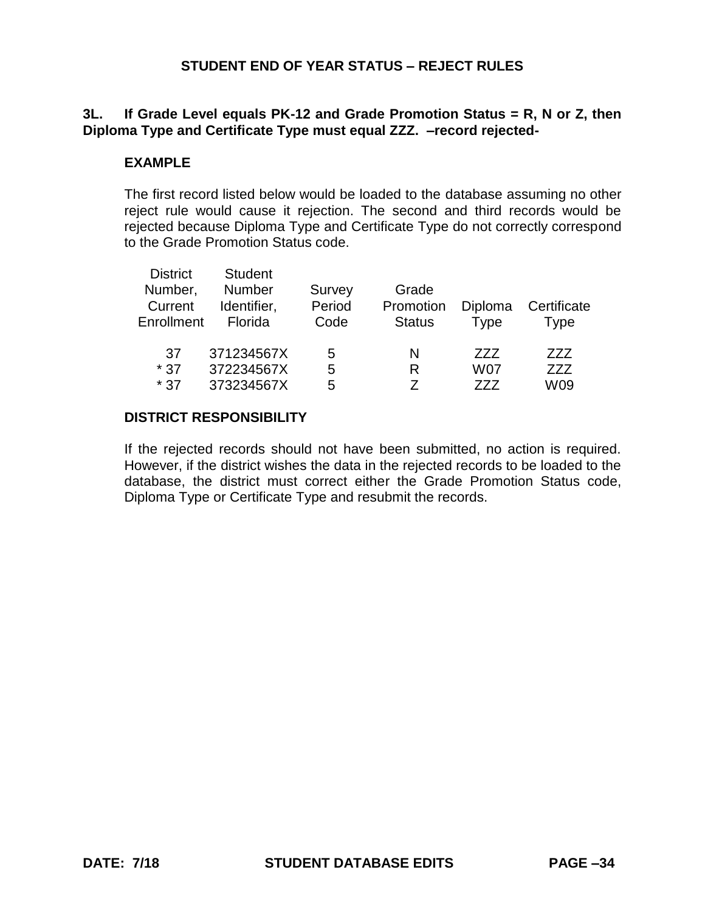# **3L. If Grade Level equals PK-12 and Grade Promotion Status = R, N or Z, then Diploma Type and Certificate Type must equal ZZZ. –record rejected-**

### **EXAMPLE**

The first record listed below would be loaded to the database assuming no other reject rule would cause it rejection. The second and third records would be rejected because Diploma Type and Certificate Type do not correctly correspond to the Grade Promotion Status code.

| <b>District</b><br>Number,<br>Current<br>Enrollment | <b>Student</b><br><b>Number</b><br>Identifier,<br>Florida | Survey<br>Period<br>Code | Grade<br>Promotion<br><b>Status</b> | Diploma<br>Type          | Certificate<br>Type |
|-----------------------------------------------------|-----------------------------------------------------------|--------------------------|-------------------------------------|--------------------------|---------------------|
| 37<br>$*37$<br>$*37$                                | 371234567X<br>372234567X<br>373234567X                    | 5<br>5<br>5              | N<br>R                              | 777<br><b>W07</b><br>777 | 777<br>ZZZ<br>W09   |

#### **DISTRICT RESPONSIBILITY**

If the rejected records should not have been submitted, no action is required. However, if the district wishes the data in the rejected records to be loaded to the database, the district must correct either the Grade Promotion Status code, Diploma Type or Certificate Type and resubmit the records.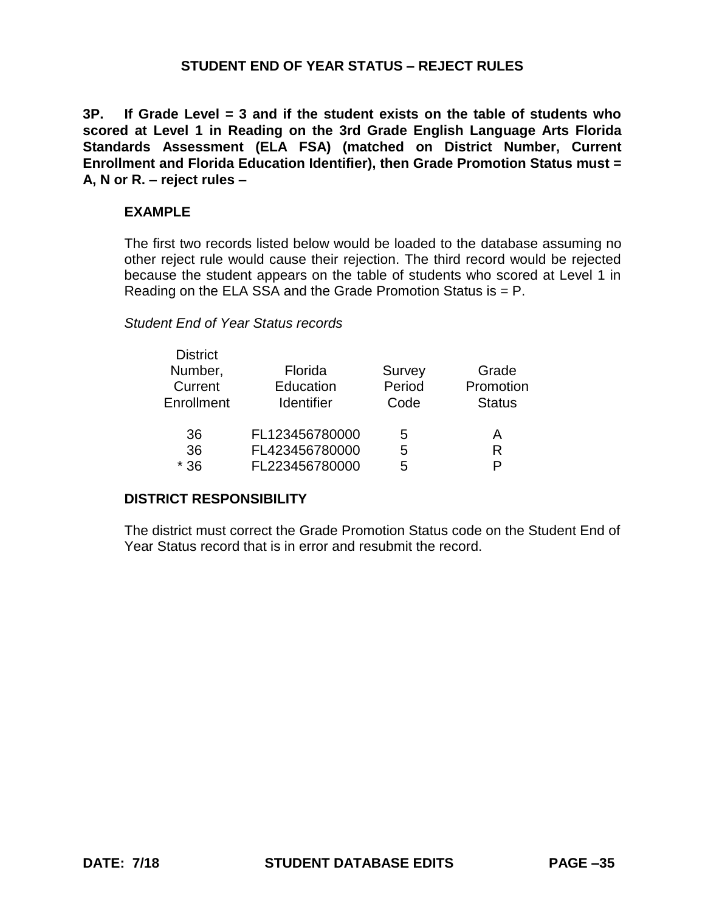**3P. If Grade Level = 3 and if the student exists on the table of students who scored at Level 1 in Reading on the 3rd Grade English Language Arts Florida Standards Assessment (ELA FSA) (matched on District Number, Current Enrollment and Florida Education Identifier), then Grade Promotion Status must = A, N or R. – reject rules –**

### **EXAMPLE**

The first two records listed below would be loaded to the database assuming no other reject rule would cause their rejection. The third record would be rejected because the student appears on the table of students who scored at Level 1 in Reading on the ELA SSA and the Grade Promotion Status is = P.

#### *Student End of Year Status records*

| <b>District</b> |                   |        |               |
|-----------------|-------------------|--------|---------------|
| Number,         | Florida           | Survey | Grade         |
| Current         | Education         | Period | Promotion     |
| Enrollment      | <b>Identifier</b> | Code   | <b>Status</b> |
|                 |                   |        |               |
| 36              | FL123456780000    | 5      | A             |
| 36              | FL423456780000    | 5      | R             |
| $*36$           | FL223456780000    | 5      | D             |

# **DISTRICT RESPONSIBILITY**

The district must correct the Grade Promotion Status code on the Student End of Year Status record that is in error and resubmit the record.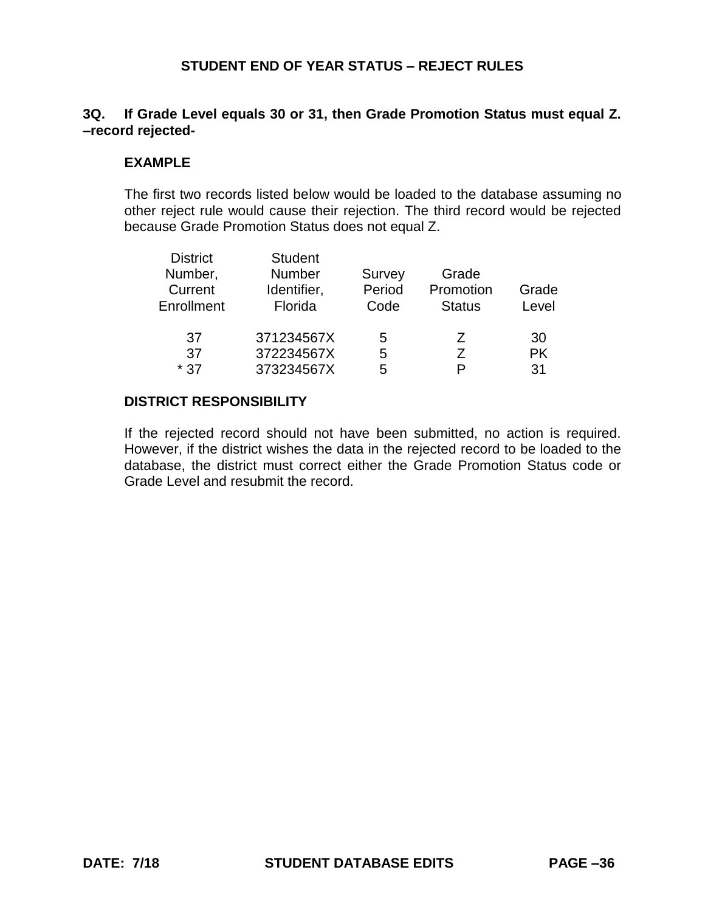## **3Q. If Grade Level equals 30 or 31, then Grade Promotion Status must equal Z. –record rejected-**

### **EXAMPLE**

The first two records listed below would be loaded to the database assuming no other reject rule would cause their rejection. The third record would be rejected because Grade Promotion Status does not equal Z.

| <b>District</b> | <b>Student</b> |        |               |           |
|-----------------|----------------|--------|---------------|-----------|
| Number,         | <b>Number</b>  | Survey | Grade         |           |
| Current         | Identifier,    | Period | Promotion     | Grade     |
| Enrollment      | Florida        | Code   | <b>Status</b> | Level     |
|                 |                |        |               |           |
| 37              | 371234567X     | 5      | Z             | 30        |
| 37              | 372234567X     | 5      | 7             | <b>PK</b> |
| $*37$           | 373234567X     | 5      | P             | 31        |

### **DISTRICT RESPONSIBILITY**

If the rejected record should not have been submitted, no action is required. However, if the district wishes the data in the rejected record to be loaded to the database, the district must correct either the Grade Promotion Status code or Grade Level and resubmit the record.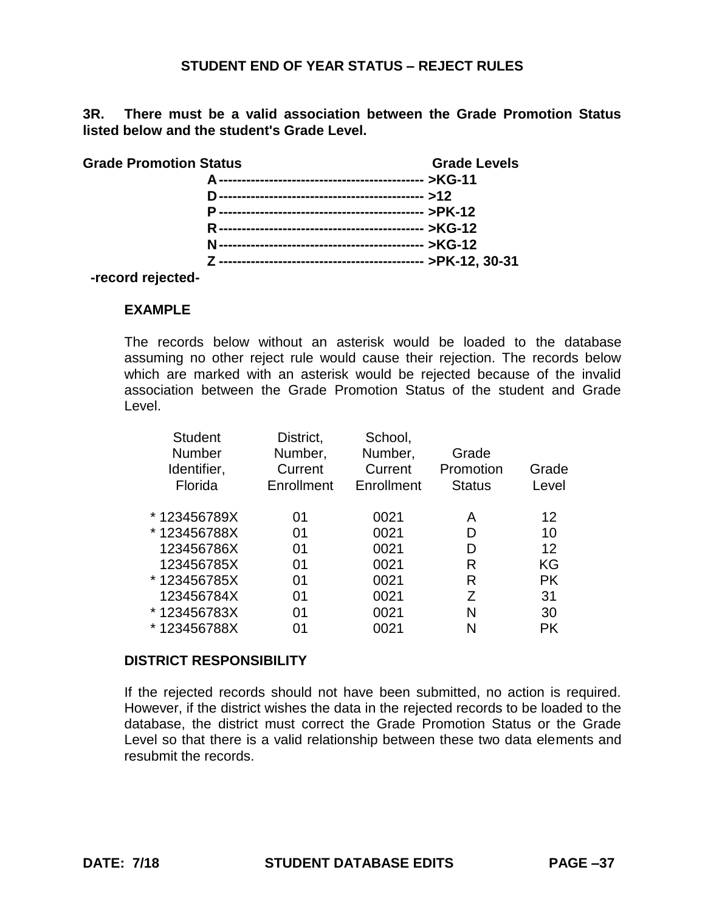**3R. There must be a valid association between the Grade Promotion Status listed below and the student's Grade Level.**

| <b>Grade Promotion Status</b> | <b>Grade Levels</b> |
|-------------------------------|---------------------|
|                               |                     |
|                               |                     |
|                               |                     |
|                               |                     |
|                               |                     |
|                               |                     |

 **-record rejected-**

#### **EXAMPLE**

The records below without an asterisk would be loaded to the database assuming no other reject rule would cause their rejection. The records below which are marked with an asterisk would be rejected because of the invalid association between the Grade Promotion Status of the student and Grade Level.

| <b>Student</b><br><b>Number</b><br>Identifier,<br>Florida | District,<br>Number,<br>Current<br>Enrollment | School,<br>Number,<br>Current<br>Enrollment | Grade<br>Promotion<br><b>Status</b> | Grade<br>Level |
|-----------------------------------------------------------|-----------------------------------------------|---------------------------------------------|-------------------------------------|----------------|
| *123456789X                                               | 01                                            | 0021                                        | A                                   | 12             |
| *123456788X                                               | 01                                            | 0021                                        | D                                   | 10             |
| 123456786X                                                | 01                                            | 0021                                        | D                                   | 12             |
| 123456785X                                                | 01                                            | 0021                                        | R                                   | KG             |
| * 123456785X                                              | 01                                            | 0021                                        | R                                   | <b>PK</b>      |
| 123456784X                                                | 01                                            | 0021                                        | 7                                   | 31             |
| * 123456783X                                              | 01                                            | 0021                                        | N                                   | 30             |
| * 123456788X                                              | 01                                            | 0021                                        | N                                   | PK             |
|                                                           |                                               |                                             |                                     |                |

#### **DISTRICT RESPONSIBILITY**

If the rejected records should not have been submitted, no action is required. However, if the district wishes the data in the rejected records to be loaded to the database, the district must correct the Grade Promotion Status or the Grade Level so that there is a valid relationship between these two data elements and resubmit the records.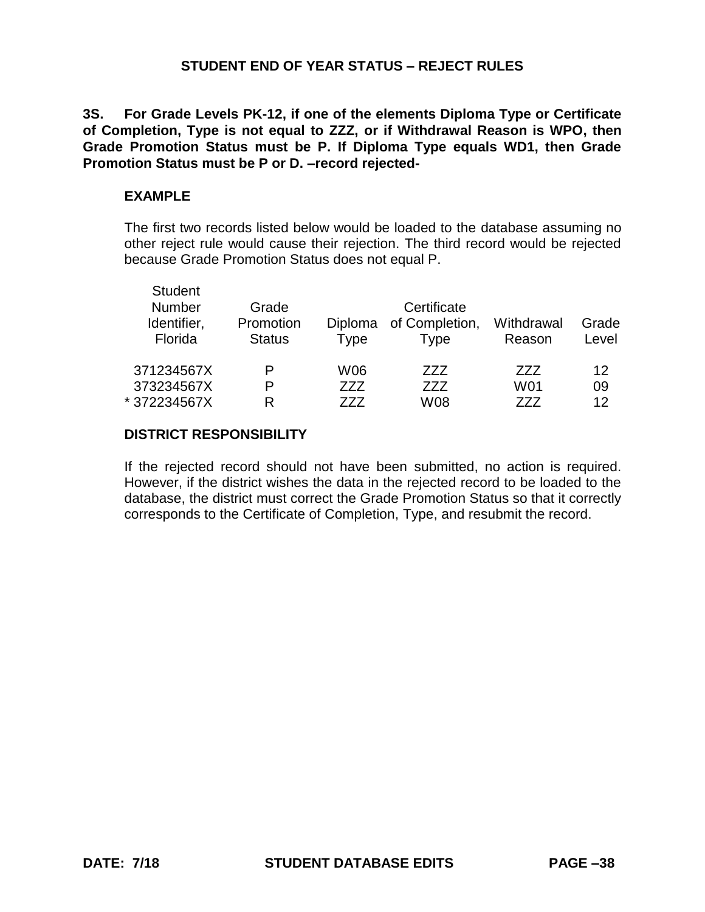**3S. For Grade Levels PK-12, if one of the elements Diploma Type or Certificate of Completion, Type is not equal to ZZZ, or if Withdrawal Reason is WPO, then Grade Promotion Status must be P. If Diploma Type equals WD1, then Grade Promotion Status must be P or D. –record rejected-**

### **EXAMPLE**

The first two records listed below would be loaded to the database assuming no other reject rule would cause their rejection. The third record would be rejected because Grade Promotion Status does not equal P.

| <b>Student</b><br><b>Number</b><br>Identifier,<br>Florida | Grade<br>Promotion<br><b>Status</b> | <b>Diploma</b><br><b>Type</b> | Certificate<br>of Completion,<br>Type | Withdrawal<br>Reason | Grade<br>Level |
|-----------------------------------------------------------|-------------------------------------|-------------------------------|---------------------------------------|----------------------|----------------|
|                                                           |                                     |                               |                                       |                      |                |
| 371234567X                                                | P                                   | W06                           | 777                                   | 777                  | 12             |
| 373234567X                                                | P                                   | 777                           | 777                                   | W01                  | 09             |
| *372234567X                                               | R                                   | 777                           | W08                                   | 777                  | 12             |

### **DISTRICT RESPONSIBILITY**

If the rejected record should not have been submitted, no action is required. However, if the district wishes the data in the rejected record to be loaded to the database, the district must correct the Grade Promotion Status so that it correctly corresponds to the Certificate of Completion, Type, and resubmit the record.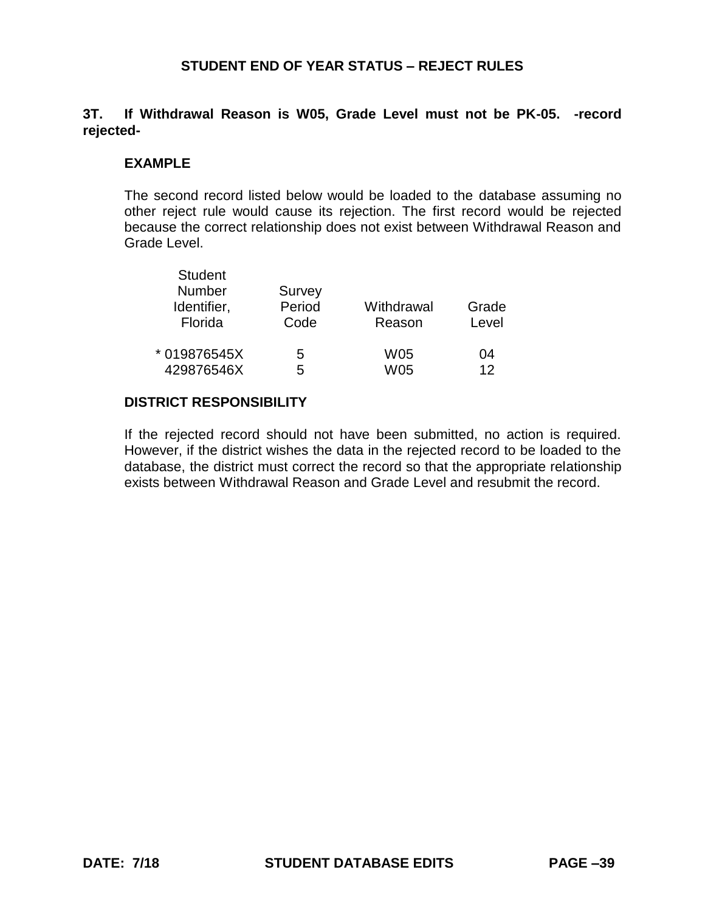## **3T. If Withdrawal Reason is W05, Grade Level must not be PK-05. -record rejected-**

## **EXAMPLE**

The second record listed below would be loaded to the database assuming no other reject rule would cause its rejection. The first record would be rejected because the correct relationship does not exist between Withdrawal Reason and Grade Level.

| <b>Student</b> |        |            |       |
|----------------|--------|------------|-------|
| Number         | Survey |            |       |
| Identifier,    | Period | Withdrawal | Grade |
| Florida        | Code   | Reason     | Level |
| * 019876545X   | 5      | W05        | 04    |
| 429876546X     | 5      | W05        | 12    |

#### **DISTRICT RESPONSIBILITY**

If the rejected record should not have been submitted, no action is required. However, if the district wishes the data in the rejected record to be loaded to the database, the district must correct the record so that the appropriate relationship exists between Withdrawal Reason and Grade Level and resubmit the record.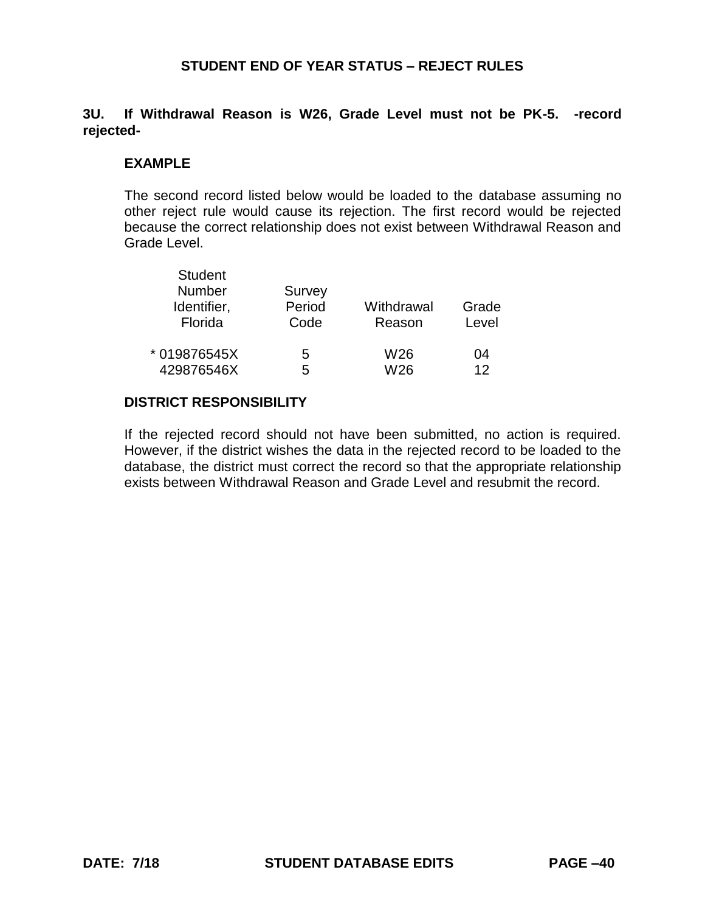## **3U. If Withdrawal Reason is W26, Grade Level must not be PK-5. -record rejected-**

### **EXAMPLE**

The second record listed below would be loaded to the database assuming no other reject rule would cause its rejection. The first record would be rejected because the correct relationship does not exist between Withdrawal Reason and Grade Level.

| <b>Student</b><br><b>Number</b><br>Identifier,<br>Florida | Survey<br>Period<br>Code | Withdrawal<br>Reason | Grade<br>Level |
|-----------------------------------------------------------|--------------------------|----------------------|----------------|
| * 019876545X                                              | 5                        | W26                  | 04             |
| 429876546X                                                | 5                        | W26                  | 12             |

#### **DISTRICT RESPONSIBILITY**

If the rejected record should not have been submitted, no action is required. However, if the district wishes the data in the rejected record to be loaded to the database, the district must correct the record so that the appropriate relationship exists between Withdrawal Reason and Grade Level and resubmit the record.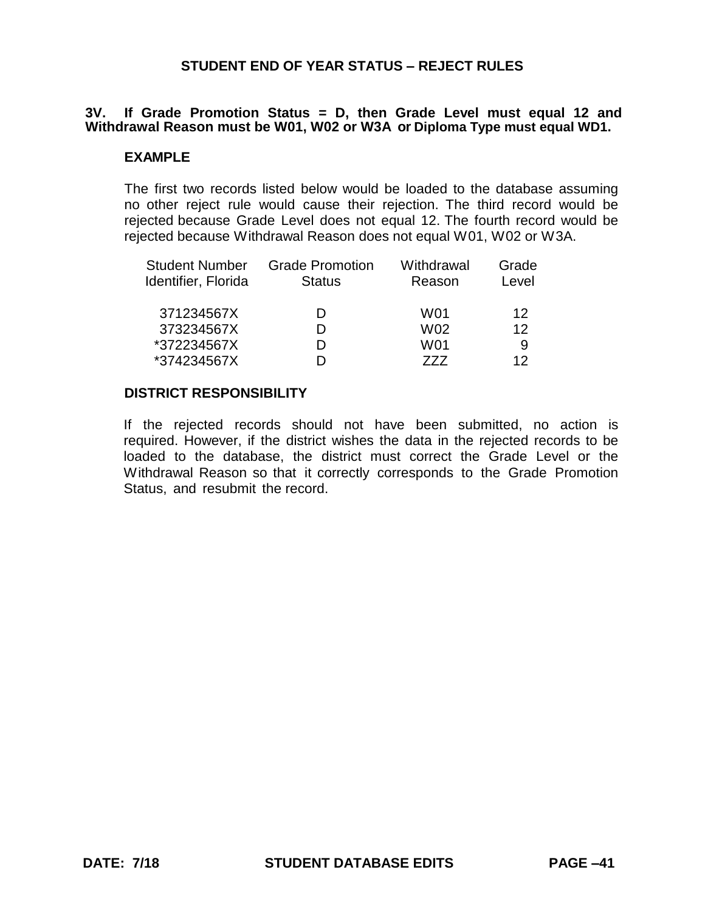### **3V. If Grade Promotion Status = D, then Grade Level must equal 12 and Withdrawal Reason must be W01, W02 or W3A or Diploma Type must equal WD1.**

### **EXAMPLE**

The first two records listed below would be loaded to the database assuming no other reject rule would cause their rejection. The third record would be rejected because Grade Level does not equal 12. The fourth record would be rejected because Withdrawal Reason does not equal W01, W02 or W3A.

| <b>Student Number</b><br>Identifier, Florida | <b>Grade Promotion</b><br><b>Status</b> | Withdrawal<br>Reason | Grade<br>Level  |
|----------------------------------------------|-----------------------------------------|----------------------|-----------------|
| 371234567X                                   |                                         | W01                  | 12              |
| 373234567X                                   |                                         | W02                  | 12 <sup>°</sup> |
| *372234567X                                  |                                         | W01                  | 9               |
| *374234567X                                  |                                         | 777                  | 12              |

#### **DISTRICT RESPONSIBILITY**

If the rejected records should not have been submitted, no action is required. However, if the district wishes the data in the rejected records to be loaded to the database, the district must correct the Grade Level or the Withdrawal Reason so that it correctly corresponds to the Grade Promotion Status, and resubmit the record.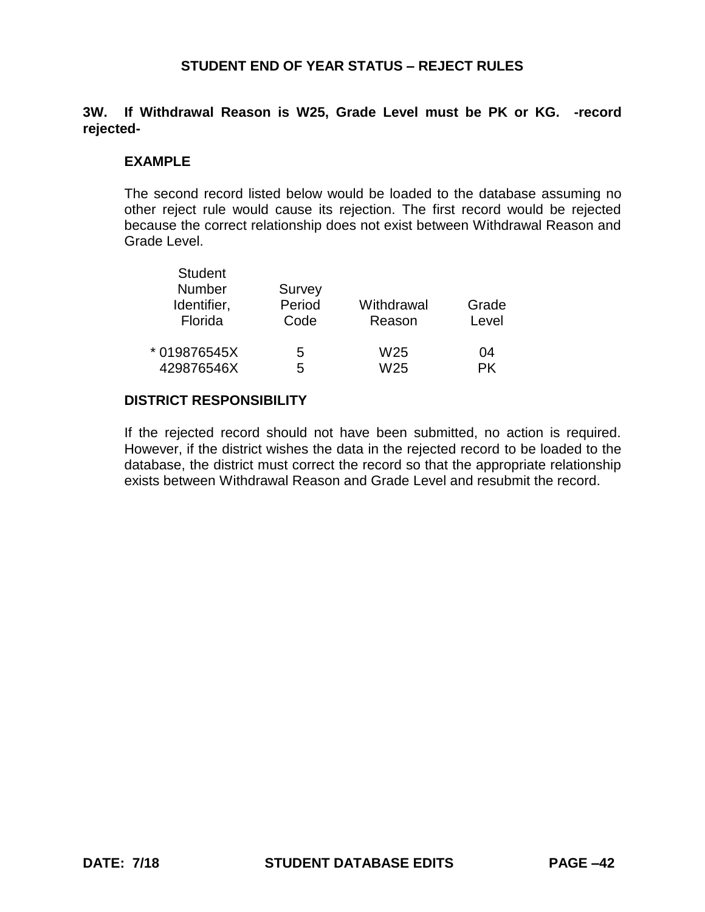## **3W. If Withdrawal Reason is W25, Grade Level must be PK or KG. -record rejected-**

### **EXAMPLE**

The second record listed below would be loaded to the database assuming no other reject rule would cause its rejection. The first record would be rejected because the correct relationship does not exist between Withdrawal Reason and Grade Level.

| <b>Student</b><br>Number<br>Identifier,<br>Florida | Survey<br>Period<br>Code | Withdrawal<br>Reason | Grade<br>Level |
|----------------------------------------------------|--------------------------|----------------------|----------------|
| * 019876545X                                       | 5                        | W25                  | 04             |
| 429876546X                                         | 5                        | W25                  | РK             |

## **DISTRICT RESPONSIBILITY**

If the rejected record should not have been submitted, no action is required. However, if the district wishes the data in the rejected record to be loaded to the database, the district must correct the record so that the appropriate relationship exists between Withdrawal Reason and Grade Level and resubmit the record.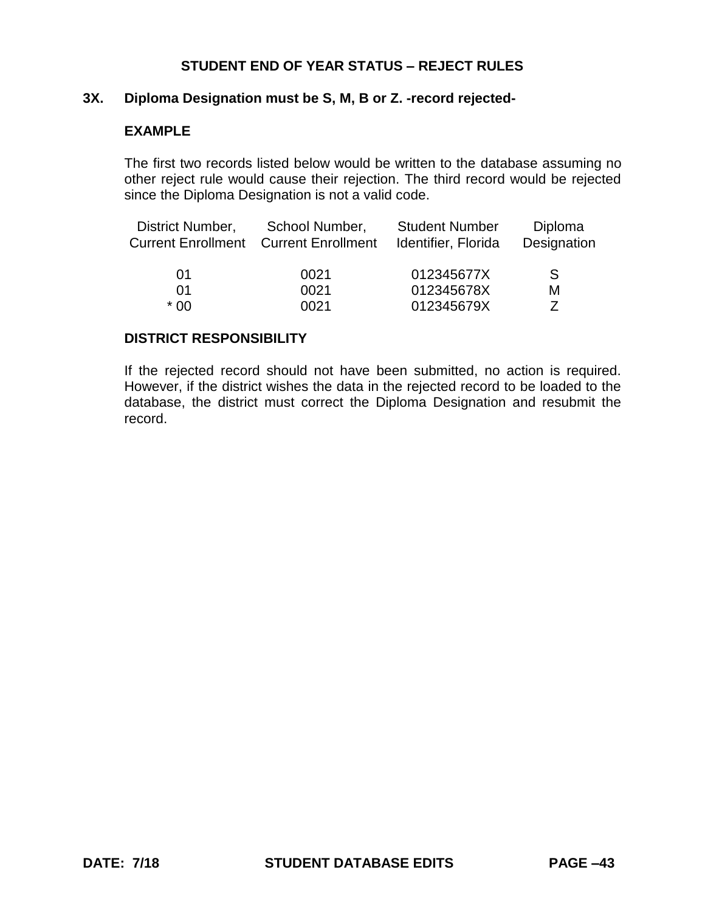### **3X. Diploma Designation must be S, M, B or Z. -record rejected-**

### **EXAMPLE**

The first two records listed below would be written to the database assuming no other reject rule would cause their rejection. The third record would be rejected since the Diploma Designation is not a valid code.

| District Number, | School Number,<br><b>Current Enrollment Current Enrollment</b> | <b>Student Number</b><br>Identifier, Florida | Diploma<br>Designation |
|------------------|----------------------------------------------------------------|----------------------------------------------|------------------------|
| 01               | 0021                                                           | 012345677X                                   | S.                     |
| 01               | 0021                                                           | 012345678X                                   | M                      |
| * 00             | 0021                                                           | 012345679X                                   |                        |

#### **DISTRICT RESPONSIBILITY**

If the rejected record should not have been submitted, no action is required. However, if the district wishes the data in the rejected record to be loaded to the database, the district must correct the Diploma Designation and resubmit the record.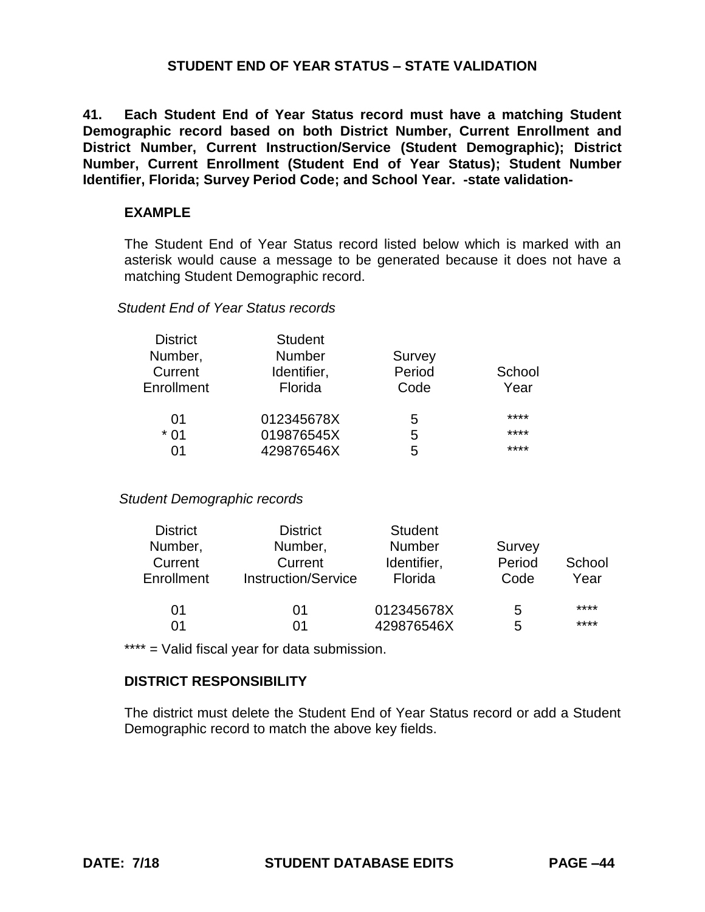**41. Each Student End of Year Status record must have a matching Student Demographic record based on both District Number, Current Enrollment and District Number, Current Instruction/Service (Student Demographic); District Number, Current Enrollment (Student End of Year Status); Student Number Identifier, Florida; Survey Period Code; and School Year. -state validation-**

#### **EXAMPLE**

The Student End of Year Status record listed below which is marked with an asterisk would cause a message to be generated because it does not have a matching Student Demographic record.

#### *Student End of Year Status records*

| <b>District</b> | <b>Student</b> |        |        |
|-----------------|----------------|--------|--------|
| Number,         | <b>Number</b>  | Survey |        |
| Current         | Identifier,    | Period | School |
| Enrollment      | Florida        | Code   | Year   |
| 01              | 012345678X     | 5      | ****   |
| $*01$           | 019876545X     | 5      | ****   |
| ሰ1              | 429876546X     | 5      | ****   |

#### *Student Demographic records*

| <b>District</b> | <b>District</b>            | <b>Student</b> |        |        |
|-----------------|----------------------------|----------------|--------|--------|
| Number,         | Number,                    | <b>Number</b>  | Survey |        |
| Current         | Current                    | Identifier,    | Period | School |
| Enrollment      | <b>Instruction/Service</b> | Florida        | Code   | Year   |
| 01              | 01                         | 012345678X     | 5      | ****   |
| 01              | 01                         | 429876546X     | 5      | ****   |

\*\*\*\* = Valid fiscal year for data submission.

## **DISTRICT RESPONSIBILITY**

The district must delete the Student End of Year Status record or add a Student Demographic record to match the above key fields.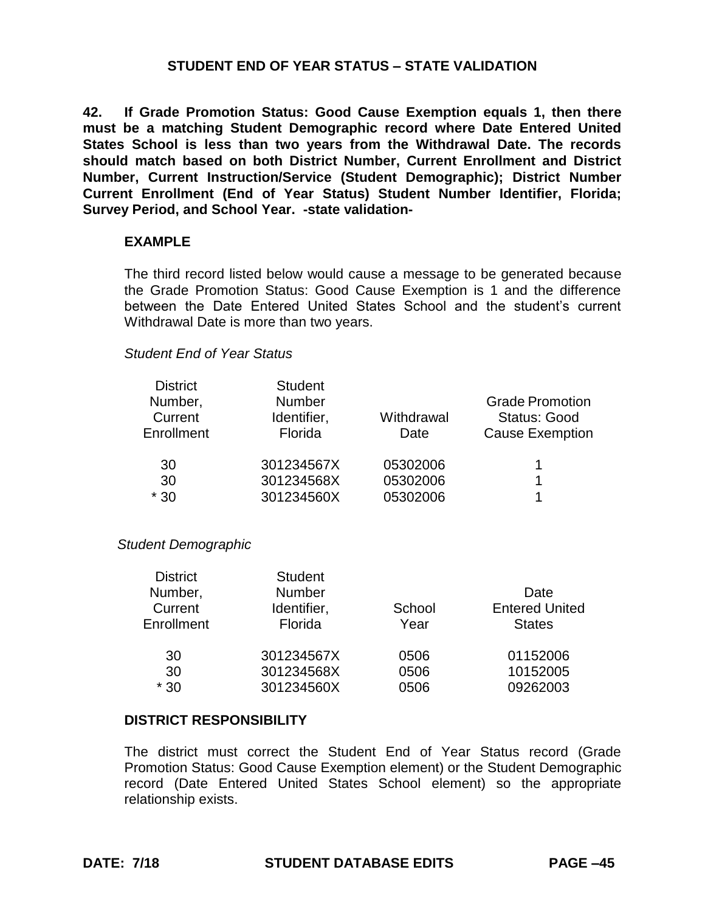**42. If Grade Promotion Status: Good Cause Exemption equals 1, then there must be a matching Student Demographic record where Date Entered United States School is less than two years from the Withdrawal Date. The records should match based on both District Number, Current Enrollment and District Number, Current Instruction/Service (Student Demographic); District Number Current Enrollment (End of Year Status) Student Number Identifier, Florida; Survey Period, and School Year. -state validation-**

### **EXAMPLE**

The third record listed below would cause a message to be generated because the Grade Promotion Status: Good Cause Exemption is 1 and the difference between the Date Entered United States School and the student's current Withdrawal Date is more than two years.

#### *Student End of Year Status*

| <b>District</b> | <b>Student</b> |            |                        |
|-----------------|----------------|------------|------------------------|
| Number,         | <b>Number</b>  |            | <b>Grade Promotion</b> |
| Current         | Identifier,    | Withdrawal | <b>Status: Good</b>    |
| Enrollment      | Florida        | Date       | <b>Cause Exemption</b> |
| 30              | 301234567X     | 05302006   |                        |
| 30              | 301234568X     | 05302006   |                        |
| $*30$           | 301234560X     | 05302006   |                        |

#### *Student Demographic*

| <b>District</b> | <b>Student</b> |        |                       |
|-----------------|----------------|--------|-----------------------|
| Number,         | <b>Number</b>  |        | Date                  |
| Current         | Identifier,    | School | <b>Entered United</b> |
| Enrollment      | Florida        | Year   | <b>States</b>         |
| 30              | 301234567X     | 0506   | 01152006              |
| 30              | 301234568X     | 0506   | 10152005              |
| $*30$           | 301234560X     | 0506   | 09262003              |

#### **DISTRICT RESPONSIBILITY**

The district must correct the Student End of Year Status record (Grade Promotion Status: Good Cause Exemption element) or the Student Demographic record (Date Entered United States School element) so the appropriate relationship exists.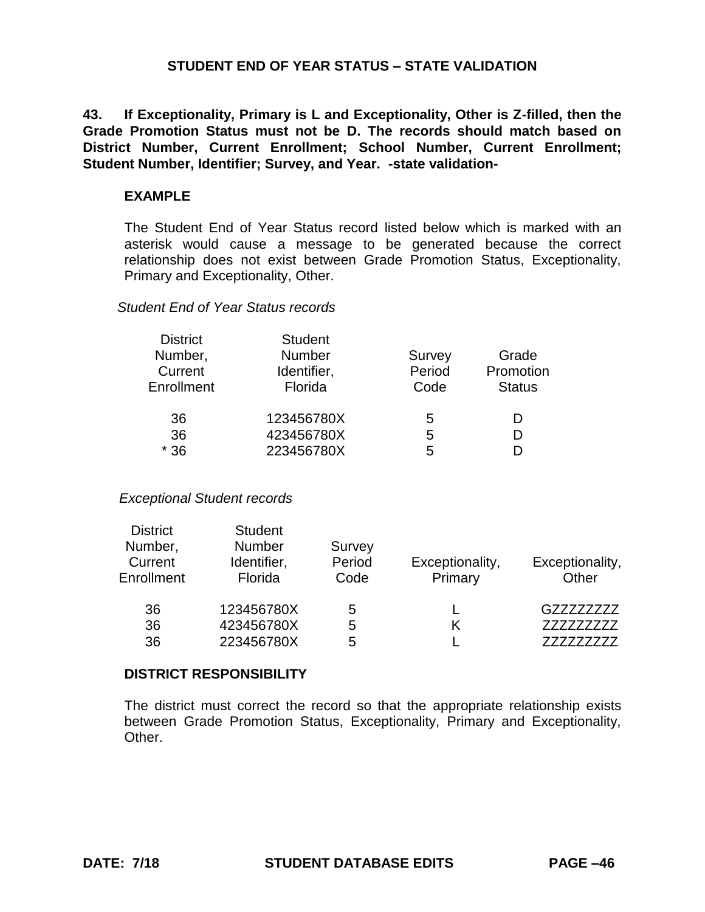**43. If Exceptionality, Primary is L and Exceptionality, Other is Z-filled, then the Grade Promotion Status must not be D. The records should match based on District Number, Current Enrollment; School Number, Current Enrollment; Student Number, Identifier; Survey, and Year. -state validation-**

### **EXAMPLE**

The Student End of Year Status record listed below which is marked with an asterisk would cause a message to be generated because the correct relationship does not exist between Grade Promotion Status, Exceptionality, Primary and Exceptionality, Other.

### *Student End of Year Status records*

| <b>District</b> | <b>Student</b> |        |               |
|-----------------|----------------|--------|---------------|
| Number,         | <b>Number</b>  | Survey | Grade         |
| Current         | Identifier,    | Period | Promotion     |
| Enrollment      | Florida        | Code   | <b>Status</b> |
| 36              | 123456780X     | 5      | D             |
| 36              | 423456780X     | 5      | D             |
| $*36$           | 223456780X     | 5      | D             |

*Exceptional Student records*

| <b>District</b> | <b>Student</b> |        |                 |                 |
|-----------------|----------------|--------|-----------------|-----------------|
| Number,         | <b>Number</b>  | Survey |                 |                 |
| Current         | Identifier,    | Period | Exceptionality, | Exceptionality, |
| Enrollment      | Florida        | Code   | Primary         | Other           |
| 36              | 123456780X     | 5      |                 | GZZZZZZZZZ      |
| 36              | 423456780X     | 5      | K               | 777777777       |
| 36              | 223456780X     | 5      |                 |                 |

#### **DISTRICT RESPONSIBILITY**

The district must correct the record so that the appropriate relationship exists between Grade Promotion Status, Exceptionality, Primary and Exceptionality, Other.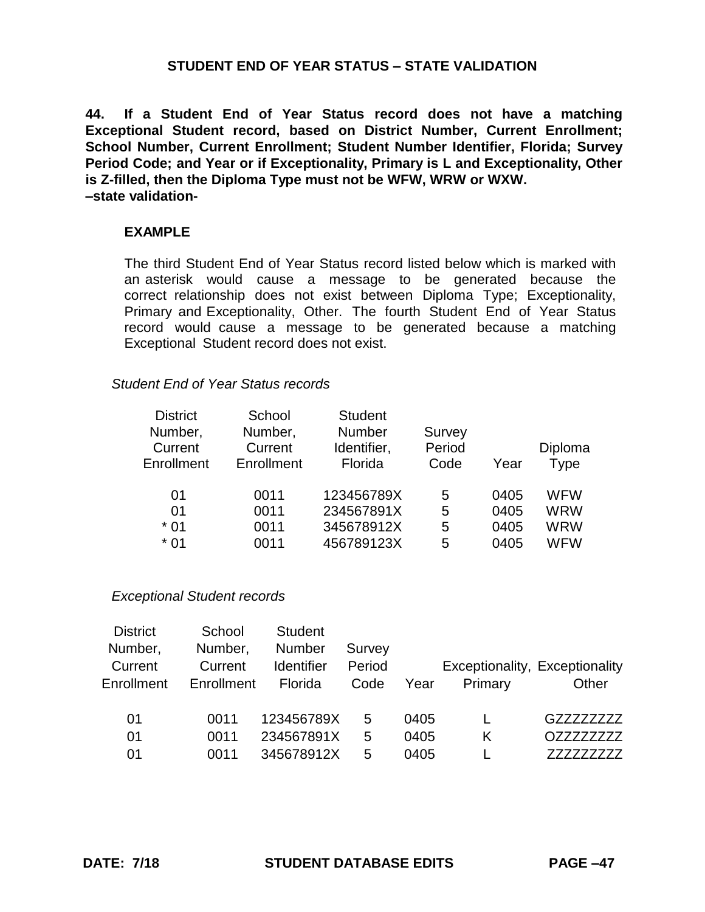**44. If a Student End of Year Status record does not have a matching Exceptional Student record, based on District Number, Current Enrollment; School Number, Current Enrollment; Student Number Identifier, Florida; Survey Period Code; and Year or if Exceptionality, Primary is L and Exceptionality, Other is Z-filled, then the Diploma Type must not be WFW, WRW or WXW. –state validation-**

### **EXAMPLE**

The third Student End of Year Status record listed below which is marked with an asterisk would cause a message to be generated because the correct relationship does not exist between Diploma Type; Exceptionality, Primary and Exceptionality, Other. The fourth Student End of Year Status record would cause a message to be generated because a matching Exceptional Student record does not exist.

#### *Student End of Year Status records*

| Number,<br>Number,<br><b>Number</b><br>Survey<br>Period<br>Current<br>Current<br>Identifier,<br>Florida<br>Enrollment<br>Enrollment<br>Code<br>Year | Diploma<br>Type |
|-----------------------------------------------------------------------------------------------------------------------------------------------------|-----------------|
| 123456789X<br>0011<br>0405<br>01<br>5                                                                                                               | <b>WFW</b>      |
| 234567891X<br>0011<br>0405<br>01<br>5                                                                                                               | <b>WRW</b>      |
| 345678912X<br>$*01$<br>0405<br>0011<br>5                                                                                                            | <b>WRW</b>      |
| 456789123X<br>$*01$<br>0011<br>0405<br>5                                                                                                            | <b>WFW</b>      |

#### *Exceptional Student records*

| <b>District</b> | School     | <b>Student</b>    |        |      |                                |           |
|-----------------|------------|-------------------|--------|------|--------------------------------|-----------|
| Number,         | Number,    | <b>Number</b>     | Survey |      |                                |           |
| Current         | Current    | <b>Identifier</b> | Period |      | Exceptionality, Exceptionality |           |
| Enrollment      | Enrollment | Florida           | Code   | Year | Primary                        | Other     |
|                 |            |                   |        |      |                                |           |
| 01              | 0011       | 123456789X        | 5      | 0405 |                                | G77777777 |
| 01              | 0011       | 234567891X        | 5      | 0405 | Κ                              | 077777777 |
| 01              | 0011       | 345678912X        | 5      | 0405 |                                | 777       |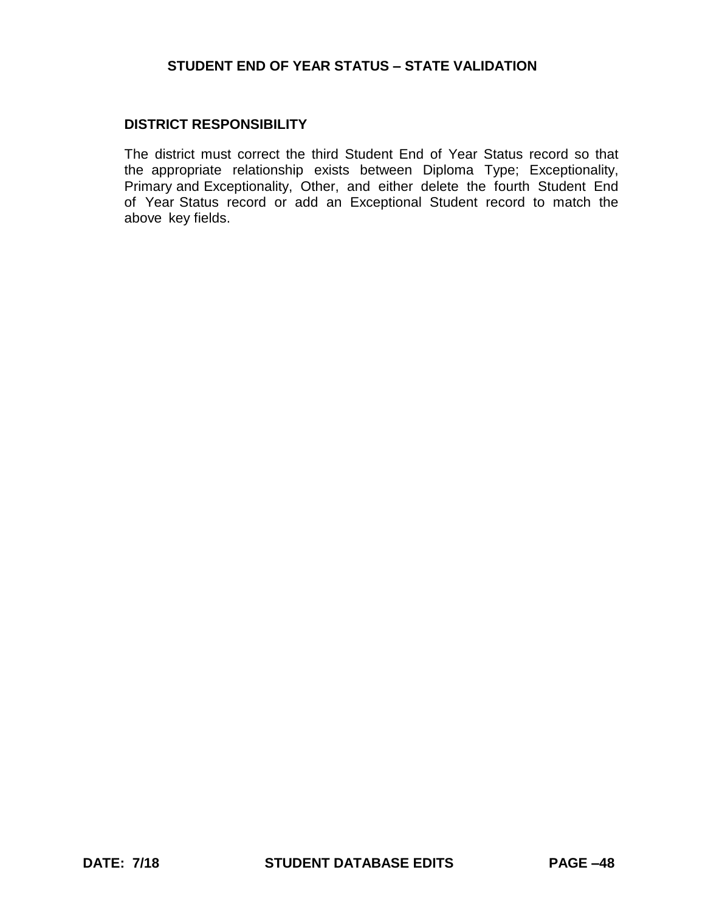### **DISTRICT RESPONSIBILITY**

The district must correct the third Student End of Year Status record so that the appropriate relationship exists between Diploma Type; Exceptionality, Primary and Exceptionality, Other, and either delete the fourth Student End of Year Status record or add an Exceptional Student record to match the above key fields.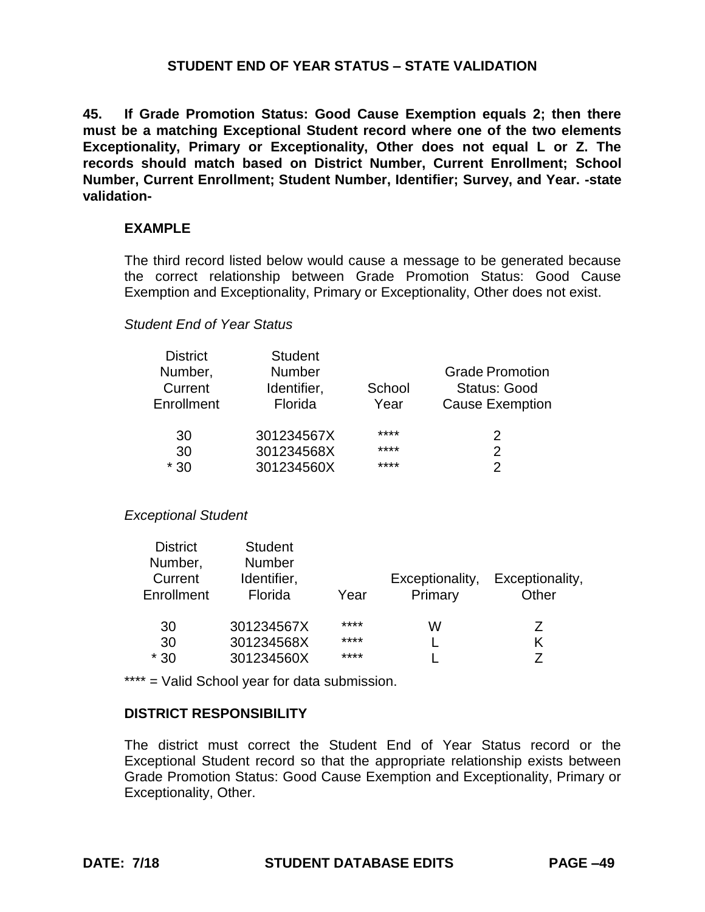**45. If Grade Promotion Status: Good Cause Exemption equals 2; then there must be a matching Exceptional Student record where one of the two elements Exceptionality, Primary or Exceptionality, Other does not equal L or Z. The records should match based on District Number, Current Enrollment; School Number, Current Enrollment; Student Number, Identifier; Survey, and Year. -state validation-**

### **EXAMPLE**

The third record listed below would cause a message to be generated because the correct relationship between Grade Promotion Status: Good Cause Exemption and Exceptionality, Primary or Exceptionality, Other does not exist.

### *Student End of Year Status*

| <b>District</b> | <b>Student</b> |        |                        |
|-----------------|----------------|--------|------------------------|
| Number,         | <b>Number</b>  |        | <b>Grade Promotion</b> |
| Current         | Identifier,    | School | <b>Status: Good</b>    |
| Enrollment      | Florida        | Year   | <b>Cause Exemption</b> |
| 30              | 301234567X     | ****   | 2                      |
| 30              | 301234568X     | ****   | 2                      |
| $*30$           | 301234560X     | ****   | 2                      |

#### *Exceptional Student*

| <b>District</b> | <b>Student</b> |      |                 |                 |
|-----------------|----------------|------|-----------------|-----------------|
| Number,         | <b>Number</b>  |      |                 |                 |
| Current         | Identifier,    |      | Exceptionality, | Exceptionality, |
| Enrollment      | Florida        | Year | Primary         | Other           |
| 30              | 301234567X     | **** | W               | Ζ               |
| 30              | 301234568X     | **** |                 | Κ               |
| $*30$           | 301234560X     | **** |                 | 7               |

\*\*\*\* = Valid School year for data submission.

#### **DISTRICT RESPONSIBILITY**

The district must correct the Student End of Year Status record or the Exceptional Student record so that the appropriate relationship exists between Grade Promotion Status: Good Cause Exemption and Exceptionality, Primary or Exceptionality, Other.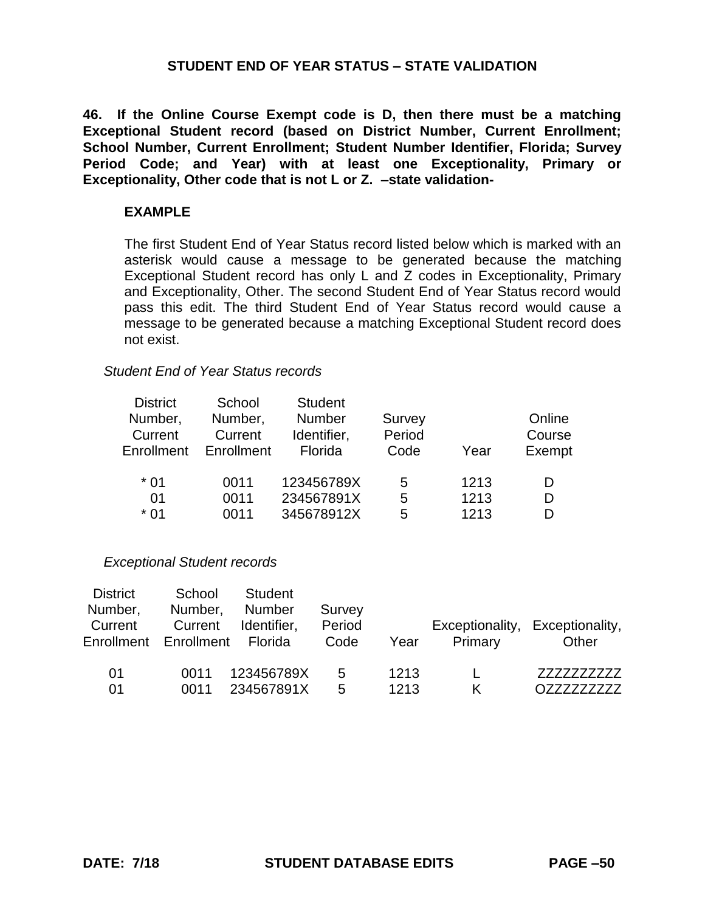**46. If the Online Course Exempt code is D, then there must be a matching Exceptional Student record (based on District Number, Current Enrollment; School Number, Current Enrollment; Student Number Identifier, Florida; Survey Period Code; and Year) with at least one Exceptionality, Primary or Exceptionality, Other code that is not L or Z. –state validation-**

### **EXAMPLE**

The first Student End of Year Status record listed below which is marked with an asterisk would cause a message to be generated because the matching Exceptional Student record has only L and Z codes in Exceptionality, Primary and Exceptionality, Other. The second Student End of Year Status record would pass this edit. The third Student End of Year Status record would cause a message to be generated because a matching Exceptional Student record does not exist.

## *Student End of Year Status records*

| <b>District</b> | School     | <b>Student</b> |        |      |        |
|-----------------|------------|----------------|--------|------|--------|
| Number,         | Number,    | <b>Number</b>  | Survey |      | Online |
| Current         | Current    | Identifier,    | Period |      | Course |
| Enrollment      | Enrollment | Florida        | Code   | Year | Exempt |
|                 |            |                |        |      |        |
| $*01$           | 0011       | 123456789X     | 5      | 1213 |        |
| 01              | 0011       | 234567891X     | 5      | 1213 |        |
| $*01$           | 0011       | 345678912X     | 5      | 1213 |        |

#### *Exceptional Student records*

| <b>District</b><br>Number,<br>Current<br>Enrollment | School<br>Number,<br>Current<br>Enrollment | Student<br><b>Number</b><br>Identifier,<br>Florida | Survey<br>Period<br>Code | Year         | Primary | Exceptionality, Exceptionality,<br>Other |
|-----------------------------------------------------|--------------------------------------------|----------------------------------------------------|--------------------------|--------------|---------|------------------------------------------|
| 01<br>01                                            | 0011<br>0011                               | 123456789X<br>234567891X                           | 5<br>5                   | 1213<br>1213 |         | 7777777777                               |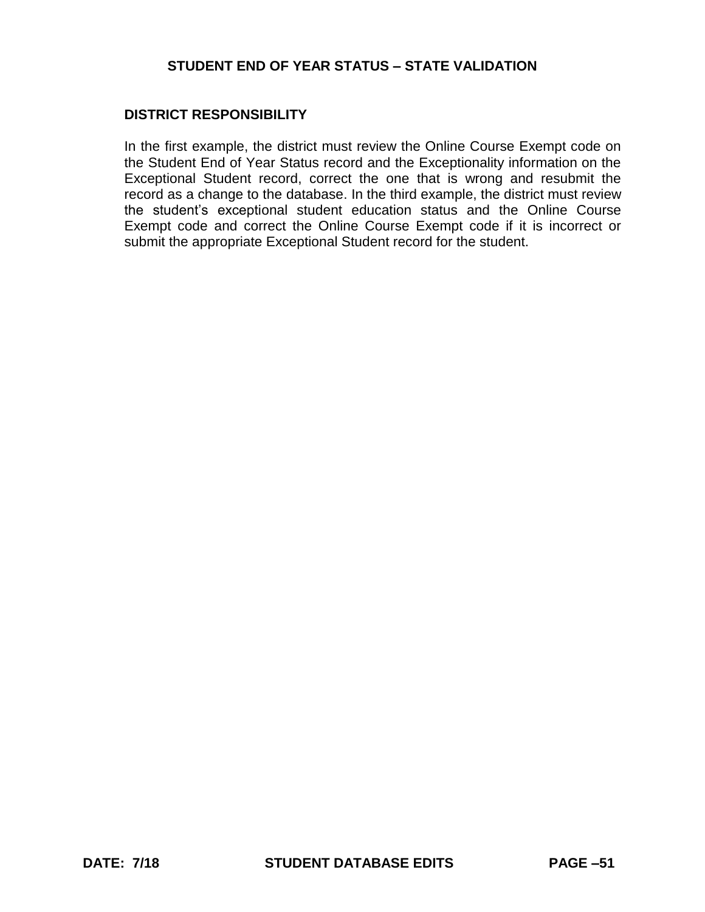### **DISTRICT RESPONSIBILITY**

In the first example, the district must review the Online Course Exempt code on the Student End of Year Status record and the Exceptionality information on the Exceptional Student record, correct the one that is wrong and resubmit the record as a change to the database. In the third example, the district must review the student's exceptional student education status and the Online Course Exempt code and correct the Online Course Exempt code if it is incorrect or submit the appropriate Exceptional Student record for the student.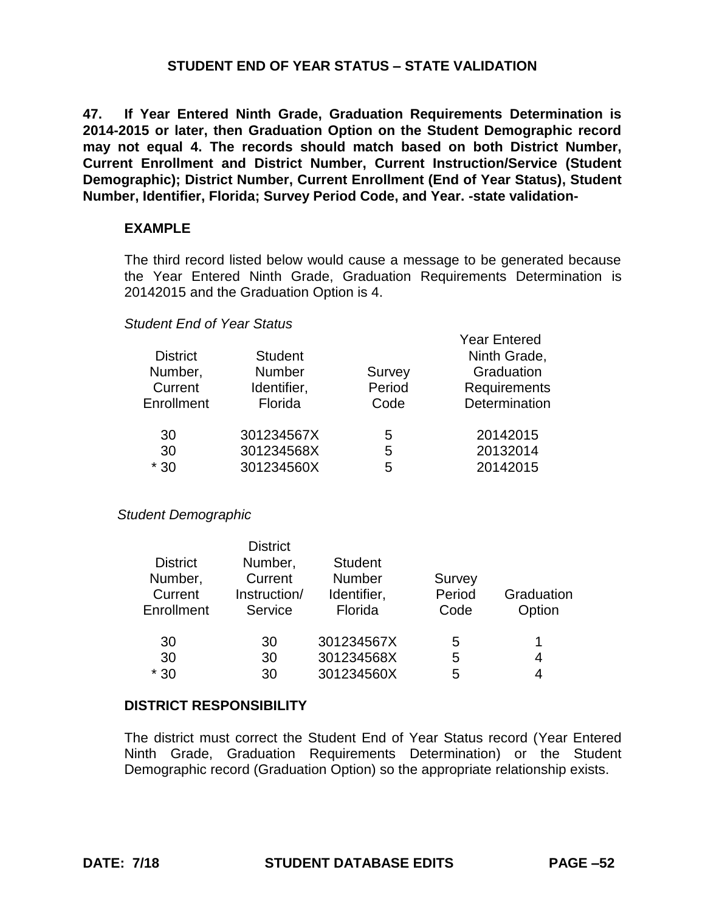**47. If Year Entered Ninth Grade, Graduation Requirements Determination is 2014-2015 or later, then Graduation Option on the Student Demographic record may not equal 4. The records should match based on both District Number, Current Enrollment and District Number, Current Instruction/Service (Student Demographic); District Number, Current Enrollment (End of Year Status), Student Number, Identifier, Florida; Survey Period Code, and Year. -state validation-**

### **EXAMPLE**

The third record listed below would cause a message to be generated because the Year Entered Ninth Grade, Graduation Requirements Determination is 20142015 and the Graduation Option is 4.

Year Entered

### *Student End of Year Status*

| <b>District</b><br>Number, | <b>Student</b><br>Number | Survey         | rear Entered<br>Ninth Grade,<br>Graduation |
|----------------------------|--------------------------|----------------|--------------------------------------------|
| Current<br>Enrollment      | Identifier,<br>Florida   | Period<br>Code | <b>Requirements</b><br>Determination       |
| 30                         | 301234567X               | 5              | 20142015                                   |
| 30                         | 301234568X               | 5              | 20132014                                   |
| $*30$                      | 301234560X               | 5              | 20142015                                   |

#### *Student Demographic*

| <b>District</b><br>Number,<br>Current<br>Enrollment | <b>District</b><br>Number,<br>Current<br>Instruction/<br>Service | <b>Student</b><br>Number<br>Identifier,<br>Florida | Survey<br>Period<br>Code | Graduation<br>Option |
|-----------------------------------------------------|------------------------------------------------------------------|----------------------------------------------------|--------------------------|----------------------|
| 30                                                  | 30                                                               | 301234567X                                         | 5                        | 1                    |
| 30                                                  | 30                                                               | 301234568X                                         | 5                        | 4                    |
| $*30$                                               | 30                                                               | 301234560X                                         | 5                        |                      |

#### **DISTRICT RESPONSIBILITY**

The district must correct the Student End of Year Status record (Year Entered Ninth Grade, Graduation Requirements Determination) or the Student Demographic record (Graduation Option) so the appropriate relationship exists.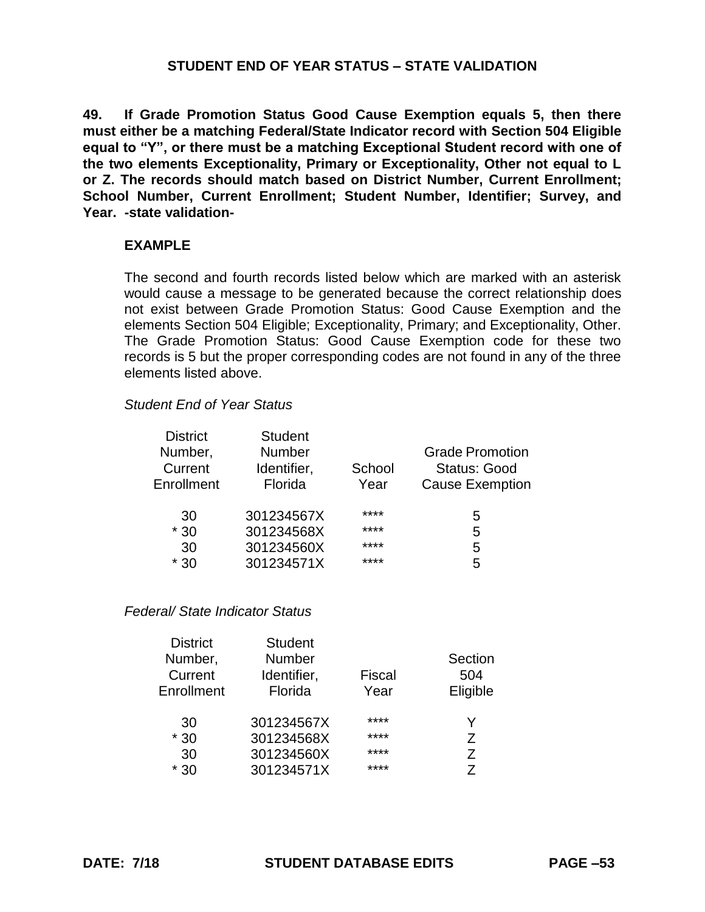**49. If Grade Promotion Status Good Cause Exemption equals 5, then there must either be a matching Federal/State Indicator record with Section 504 Eligible equal to "Y", or there must be a matching Exceptional Student record with one of the two elements Exceptionality, Primary or Exceptionality, Other not equal to L or Z. The records should match based on District Number, Current Enrollment; School Number, Current Enrollment; Student Number, Identifier; Survey, and Year. -state validation-**

#### **EXAMPLE**

The second and fourth records listed below which are marked with an asterisk would cause a message to be generated because the correct relationship does not exist between Grade Promotion Status: Good Cause Exemption and the elements Section 504 Eligible; Exceptionality, Primary; and Exceptionality, Other. The Grade Promotion Status: Good Cause Exemption code for these two records is 5 but the proper corresponding codes are not found in any of the three elements listed above.

#### *Student End of Year Status*

| <b>District</b><br>Number,<br>Current<br>Enrollment | <b>Student</b><br><b>Number</b><br>Identifier,<br>Florida | School<br>Year | <b>Grade Promotion</b><br><b>Status: Good</b><br><b>Cause Exemption</b> |
|-----------------------------------------------------|-----------------------------------------------------------|----------------|-------------------------------------------------------------------------|
| 30                                                  | 301234567X                                                | ****           | 5                                                                       |
| $*30$                                               | 301234568X                                                | ****           | 5                                                                       |
| 30                                                  | 301234560X                                                | ****           | 5                                                                       |
| $*30$                                               | 301234571X                                                | ****           | 5                                                                       |

*Federal/ State Indicator Status*

| <b>Student</b><br><b>Number</b><br>Identifier,<br>Florida | Fiscal<br>Year | Section<br>504<br>Eligible |
|-----------------------------------------------------------|----------------|----------------------------|
| 301234567X                                                | ****           | Y                          |
| 301234568X                                                | ****           | $\overline{z}$             |
| 301234560X                                                | ****           | 7                          |
| 301234571X                                                | ****           | 7                          |
|                                                           |                |                            |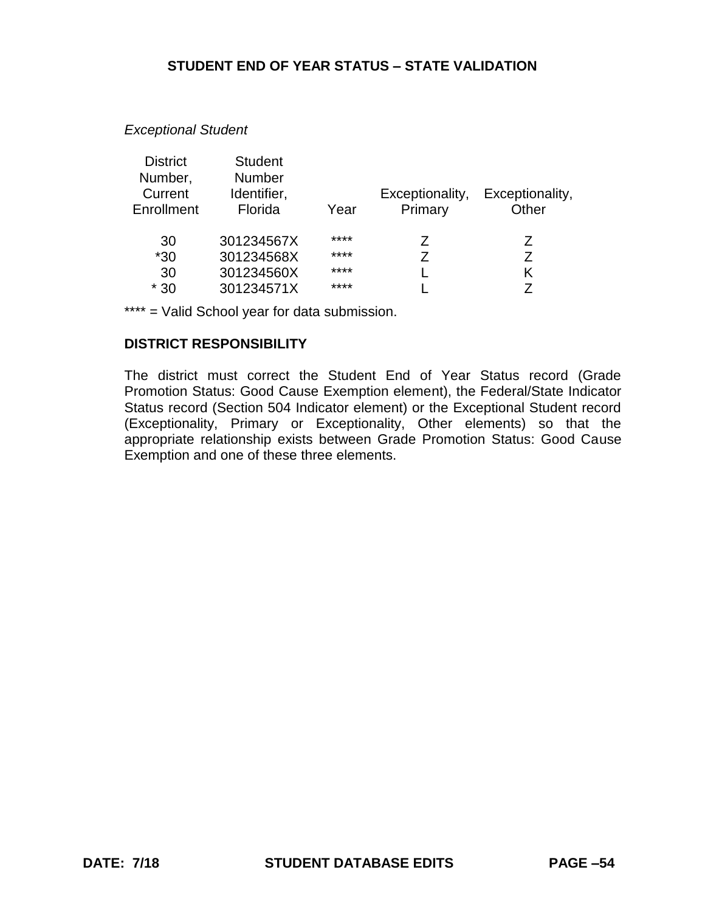#### *Exceptional Student*

| <b>District</b> | <b>Student</b> |      |                 |                 |
|-----------------|----------------|------|-----------------|-----------------|
| Number,         | <b>Number</b>  |      |                 |                 |
| Current         | Identifier,    |      | Exceptionality, | Exceptionality, |
| Enrollment      | Florida        | Year | Primary         | Other           |
|                 |                |      |                 |                 |
| 30              | 301234567X     | **** | Z               | Z               |
| $*30$           | 301234568X     | **** | 7               | 7               |
| 30              | 301234560X     | **** |                 | Κ               |
| $*30$           | 301234571X     | **** |                 |                 |

\*\*\*\* = Valid School year for data submission.

#### **DISTRICT RESPONSIBILITY**

The district must correct the Student End of Year Status record (Grade Promotion Status: Good Cause Exemption element), the Federal/State Indicator Status record (Section 504 Indicator element) or the Exceptional Student record (Exceptionality, Primary or Exceptionality, Other elements) so that the appropriate relationship exists between Grade Promotion Status: Good Cause Exemption and one of these three elements.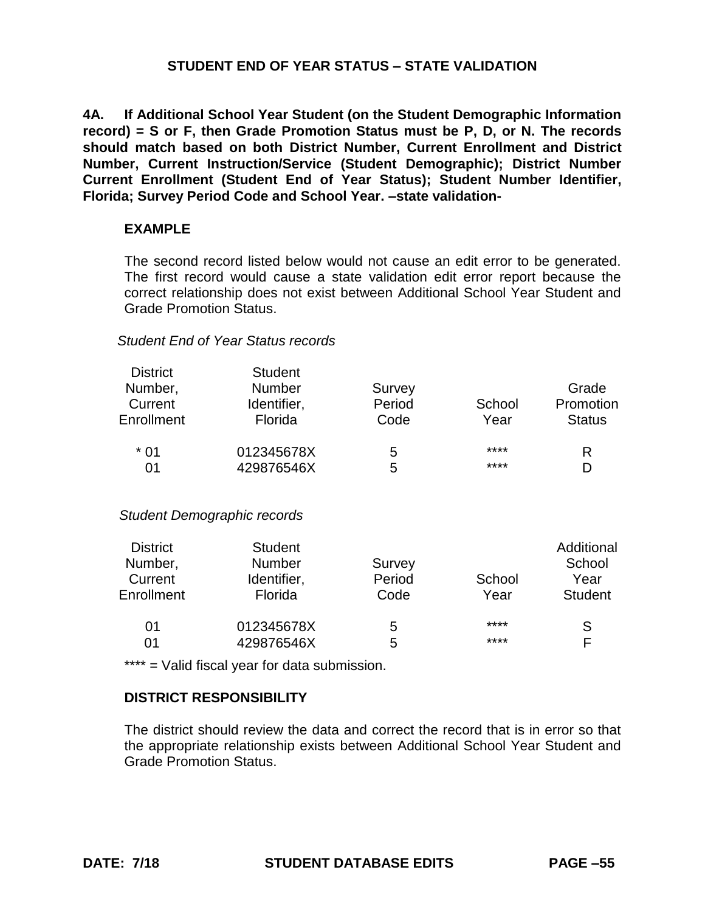**4A. If Additional School Year Student (on the Student Demographic Information record) = S or F, then Grade Promotion Status must be P, D, or N. The records should match based on both District Number, Current Enrollment and District Number, Current Instruction/Service (Student Demographic); District Number Current Enrollment (Student End of Year Status); Student Number Identifier, Florida; Survey Period Code and School Year. –state validation-**

### **EXAMPLE**

The second record listed below would not cause an edit error to be generated. The first record would cause a state validation edit error report because the correct relationship does not exist between Additional School Year Student and Grade Promotion Status.

#### *Student End of Year Status records*

| <b>District</b> | <b>Student</b> |        |        |               |
|-----------------|----------------|--------|--------|---------------|
| Number,         | <b>Number</b>  | Survey |        | Grade         |
| Current         | Identifier,    | Period | School | Promotion     |
| Enrollment      | <b>Florida</b> | Code   | Year   | <b>Status</b> |
| $*01$           | 012345678X     | 5      | ****   | R             |
| 01              | 429876546X     | 5      | ****   | D             |

*Student Demographic records*

| <b>District</b> | <b>Student</b> |        |        | Additional     |
|-----------------|----------------|--------|--------|----------------|
| Number,         | <b>Number</b>  | Survey |        | School         |
| Current         | Identifier,    | Period | School | Year           |
| Enrollment      | Florida        | Code   | Year   | <b>Student</b> |
| 01              | 012345678X     | 5      | ****   | S              |
| 01              | 429876546X     | 5      | ****   | F              |

\*\*\*\* = Valid fiscal year for data submission.

# **DISTRICT RESPONSIBILITY**

The district should review the data and correct the record that is in error so that the appropriate relationship exists between Additional School Year Student and Grade Promotion Status.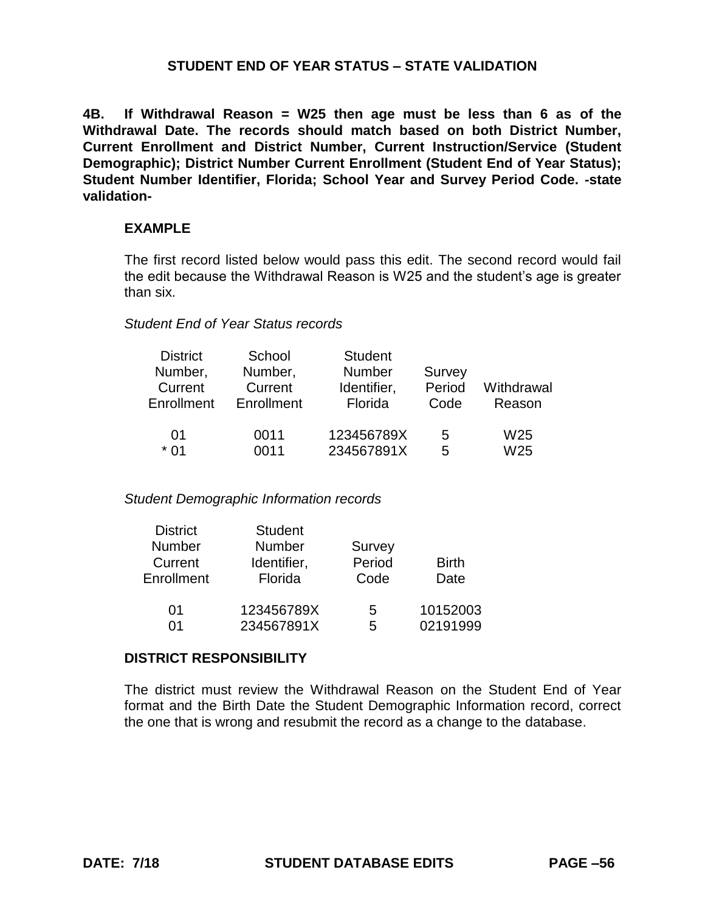**4B. If Withdrawal Reason = W25 then age must be less than 6 as of the Withdrawal Date. The records should match based on both District Number, Current Enrollment and District Number, Current Instruction/Service (Student Demographic); District Number Current Enrollment (Student End of Year Status); Student Number Identifier, Florida; School Year and Survey Period Code. -state validation-**

## **EXAMPLE**

The first record listed below would pass this edit. The second record would fail the edit because the Withdrawal Reason is W25 and the student's age is greater than six.

### *Student End of Year Status records*

| <b>District</b> | School     | <b>Student</b> |        |                 |
|-----------------|------------|----------------|--------|-----------------|
| Number,         | Number,    | <b>Number</b>  | Survey |                 |
| Current         | Current    | Identifier,    | Period | Withdrawal      |
| Enrollment      | Enrollment | Florida        | Code   | Reason          |
|                 |            |                |        |                 |
| 01              | 0011       | 123456789X     | 5      | W <sub>25</sub> |
| $*$ 01          | 0011       | 234567891X     | 5      | W <sub>25</sub> |

*Student Demographic Information records*

| <b>District</b> | <b>Student</b> |               |              |
|-----------------|----------------|---------------|--------------|
| <b>Number</b>   | <b>Number</b>  | <b>Survey</b> |              |
| Current         | Identifier,    | Period        | <b>Birth</b> |
| Enrollment      | Florida        | Code          | Date         |
| 01              | 123456789X     | 5             | 10152003     |
| በ1              | 234567891X     | 5             | 02191999     |

# **DISTRICT RESPONSIBILITY**

The district must review the Withdrawal Reason on the Student End of Year format and the Birth Date the Student Demographic Information record, correct the one that is wrong and resubmit the record as a change to the database.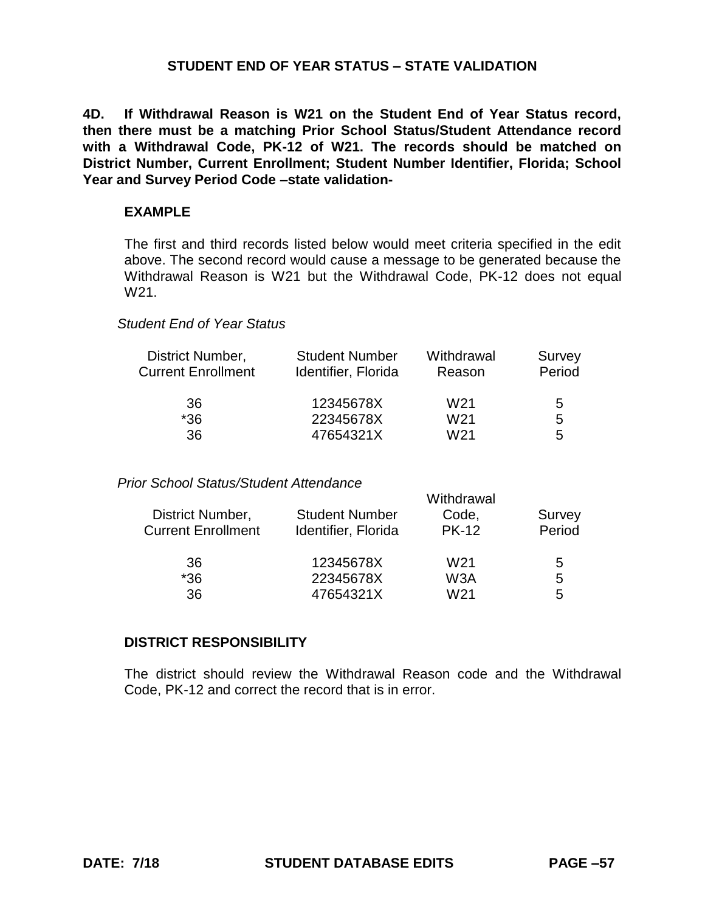**4D. If Withdrawal Reason is W21 on the Student End of Year Status record, then there must be a matching Prior School Status/Student Attendance record with a Withdrawal Code, PK-12 of W21. The records should be matched on District Number, Current Enrollment; Student Number Identifier, Florida; School Year and Survey Period Code –state validation-**

#### **EXAMPLE**

The first and third records listed below would meet criteria specified in the edit above. The second record would cause a message to be generated because the Withdrawal Reason is W21 but the Withdrawal Code, PK-12 does not equal W21.

# *Student End of Year Status*

| Identifier, Florida | Reason          | Survey<br>Period                    |
|---------------------|-----------------|-------------------------------------|
| 12345678X           | W <sub>21</sub> | 5                                   |
| 22345678X           | W <sub>21</sub> | 5                                   |
| 47654321X           | W <sub>21</sub> | 5                                   |
|                     |                 | <b>Student Number</b><br>Withdrawal |

## *Prior School Status/Student Attendance*

|                       | Withdrawal      |        |
|-----------------------|-----------------|--------|
| <b>Student Number</b> | Code,           | Survey |
| Identifier, Florida   | <b>PK-12</b>    | Period |
| 12345678X             | W21             | 5      |
| 22345678X             | W3A             | 5      |
| 47654321X             | W <sub>21</sub> | 5      |
|                       |                 |        |

#### **DISTRICT RESPONSIBILITY**

The district should review the Withdrawal Reason code and the Withdrawal Code, PK-12 and correct the record that is in error.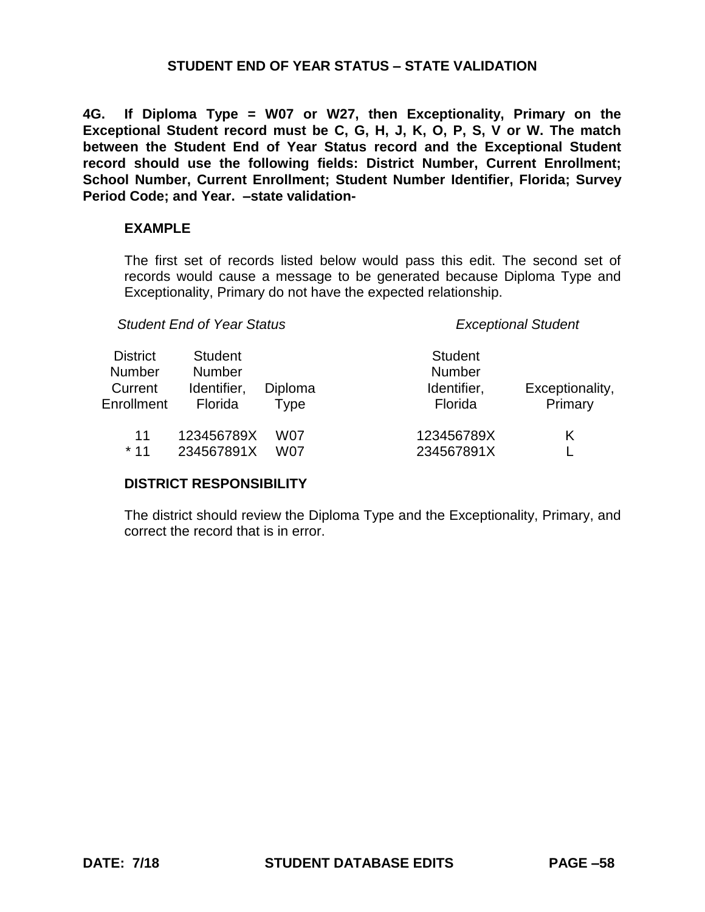**4G. If Diploma Type = W07 or W27, then Exceptionality, Primary on the Exceptional Student record must be C, G, H, J, K, O, P, S, V or W. The match between the Student End of Year Status record and the Exceptional Student record should use the following fields: District Number, Current Enrollment; School Number, Current Enrollment; Student Number Identifier, Florida; Survey Period Code; and Year. –state validation-**

## **EXAMPLE**

The first set of records listed below would pass this edit. The second set of records would cause a message to be generated because Diploma Type and Exceptionality, Primary do not have the expected relationship.

*Student End of Year Status Exceptional Student*

| <b>District</b> | <b>Student</b> |         | <b>Student</b> |                 |
|-----------------|----------------|---------|----------------|-----------------|
| <b>Number</b>   | <b>Number</b>  |         | <b>Number</b>  |                 |
| Current         | Identifier,    | Diploma | Identifier,    | Exceptionality, |
| Enrollment      | Florida        | Type    | Florida        | Primary         |
| 11              | 123456789X     | W07     | 123456789X     | Κ               |
| $*11$           | 234567891X     | W07     | 234567891X     |                 |

# **DISTRICT RESPONSIBILITY**

The district should review the Diploma Type and the Exceptionality, Primary, and correct the record that is in error.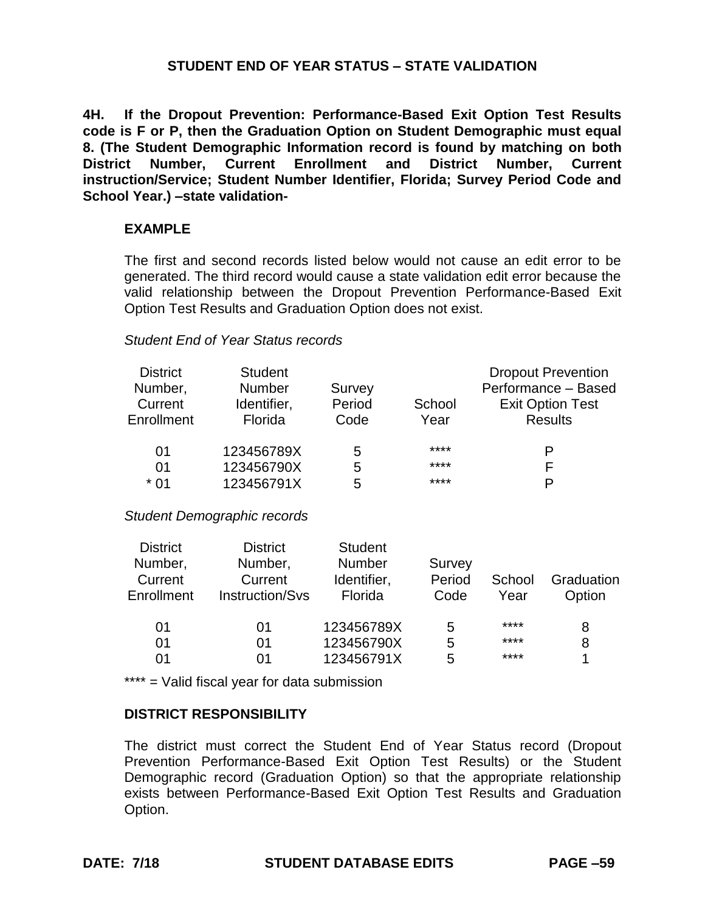**4H. If the Dropout Prevention: Performance-Based Exit Option Test Results code is F or P, then the Graduation Option on Student Demographic must equal 8. (The Student Demographic Information record is found by matching on both District Number, Current Enrollment and District Number, Current instruction/Service; Student Number Identifier, Florida; Survey Period Code and School Year.) –state validation-**

### **EXAMPLE**

The first and second records listed below would not cause an edit error to be generated. The third record would cause a state validation edit error because the valid relationship between the Dropout Prevention Performance-Based Exit Option Test Results and Graduation Option does not exist.

#### *Student End of Year Status records*

| <b>District</b><br>Number,<br>Current<br>Enrollment | <b>Student</b><br><b>Number</b><br>Identifier,<br>Florida | Survey<br>Period<br>Code | School<br>Year | <b>Dropout Prevention</b><br>Performance - Based<br><b>Exit Option Test</b><br><b>Results</b> |
|-----------------------------------------------------|-----------------------------------------------------------|--------------------------|----------------|-----------------------------------------------------------------------------------------------|
| 01                                                  | 123456789X                                                | 5                        | ****           | P                                                                                             |
| 01                                                  | 123456790X                                                | 5                        | ****           | F                                                                                             |
| $*01$                                               | 123456791X                                                | 5                        | ****           | P                                                                                             |

#### *Student Demographic records*

| <b>District</b><br><b>District</b><br><b>Student</b><br>Number,<br><b>Number</b><br>Number,<br>Survey<br>Period<br>Current<br>Current<br>Identifier,<br>School<br>Enrollment<br>Instruction/Svs<br>Florida<br>Code<br>Year | Graduation<br>Option |
|----------------------------------------------------------------------------------------------------------------------------------------------------------------------------------------------------------------------------|----------------------|
| ****<br>123456789X<br>01<br>01<br>5                                                                                                                                                                                        | 8                    |
| ****<br>123456790X<br>01<br>01<br>5                                                                                                                                                                                        | 8                    |
| ****<br>123456791X<br>5<br>01<br>01                                                                                                                                                                                        |                      |

\*\*\*\* = Valid fiscal year for data submission

# **DISTRICT RESPONSIBILITY**

The district must correct the Student End of Year Status record (Dropout Prevention Performance-Based Exit Option Test Results) or the Student Demographic record (Graduation Option) so that the appropriate relationship exists between Performance-Based Exit Option Test Results and Graduation Option.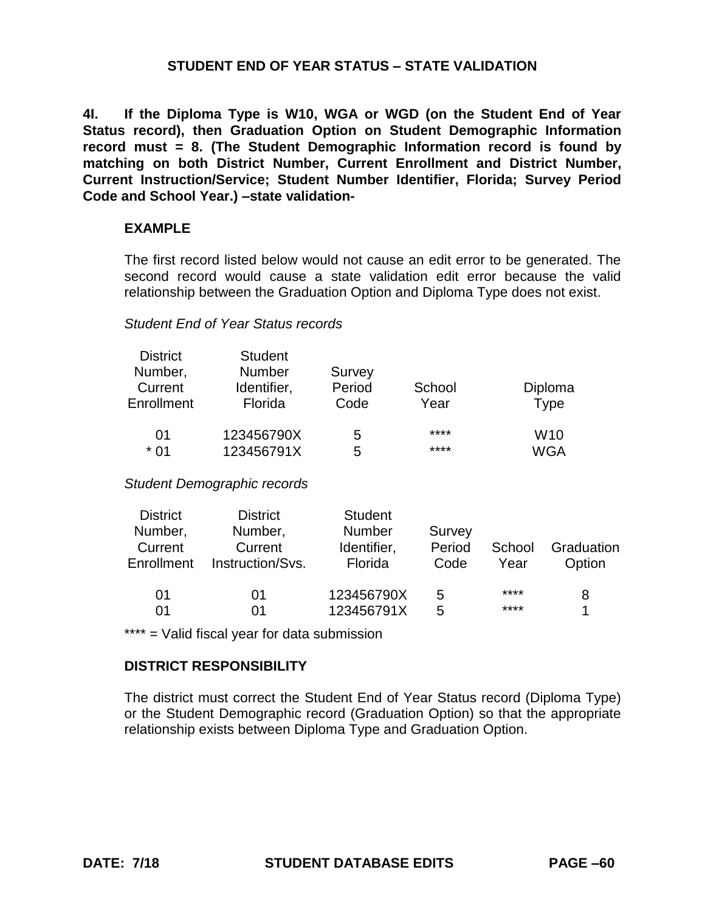**4I. If the Diploma Type is W10, WGA or WGD (on the Student End of Year Status record), then Graduation Option on Student Demographic Information record must = 8. (The Student Demographic Information record is found by matching on both District Number, Current Enrollment and District Number, Current Instruction/Service; Student Number Identifier, Florida; Survey Period Code and School Year.) –state validation-**

## **EXAMPLE**

The first record listed below would not cause an edit error to be generated. The second record would cause a state validation edit error because the valid relationship between the Graduation Option and Diploma Type does not exist.

### *Student End of Year Status records*

| <b>District</b> | <b>Student</b> |        |        |                 |
|-----------------|----------------|--------|--------|-----------------|
| Number,         | <b>Number</b>  | Survey |        |                 |
| Current         | Identifier,    | Period | School | Diploma         |
| Enrollment      | Florida        | Code   | Year   | Type            |
| 01              | 123456790X     | 5      | ****   | W <sub>10</sub> |
| $*01$           | 123456791X     | 5      | ****   | WGA             |

*Student Demographic records*

| <b>District</b><br>Number,<br>Current<br><b>Enrollment</b> | <b>District</b><br>Number,<br>Current<br>Instruction/Svs. | <b>Student</b><br><b>Number</b><br>Identifier,<br>Florida | Survey<br>Period<br>Code | School<br>Year | Graduation<br>Option |
|------------------------------------------------------------|-----------------------------------------------------------|-----------------------------------------------------------|--------------------------|----------------|----------------------|
| 01                                                         | 01                                                        | 123456790X                                                | 5                        | ****           | 8                    |
| 01                                                         | ი1                                                        | 123456791X                                                | 5                        | ****           | 4                    |

\*\*\*\* = Valid fiscal year for data submission

## **DISTRICT RESPONSIBILITY**

The district must correct the Student End of Year Status record (Diploma Type) or the Student Demographic record (Graduation Option) so that the appropriate relationship exists between Diploma Type and Graduation Option.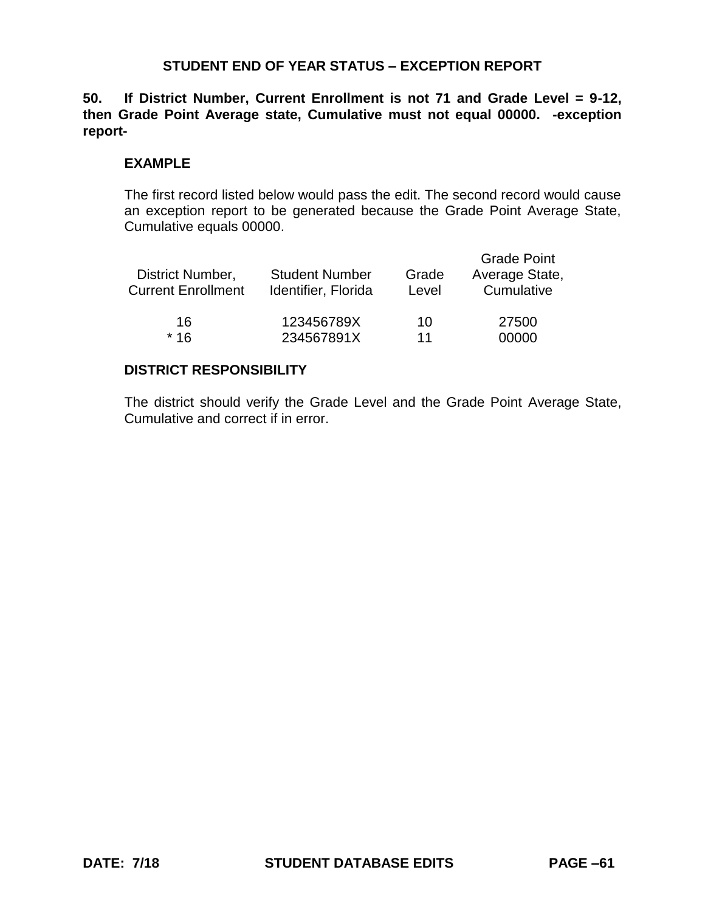# **STUDENT END OF YEAR STATUS – EXCEPTION REPORT**

**50. If District Number, Current Enrollment is not 71 and Grade Level = 9-12, then Grade Point Average state, Cumulative must not equal 00000. -exception report-**

### **EXAMPLE**

The first record listed below would pass the edit. The second record would cause an exception report to be generated because the Grade Point Average State, Cumulative equals 00000.

| District Number,<br><b>Current Enrollment</b> | <b>Student Number</b><br>Identifier, Florida | Grade<br>Level | <b>Grade Point</b><br>Average State,<br>Cumulative |
|-----------------------------------------------|----------------------------------------------|----------------|----------------------------------------------------|
| 16                                            | 123456789X                                   | 10             | 27500                                              |
| $*16$                                         | 234567891X                                   | 11             | 00000                                              |

## **DISTRICT RESPONSIBILITY**

The district should verify the Grade Level and the Grade Point Average State, Cumulative and correct if in error.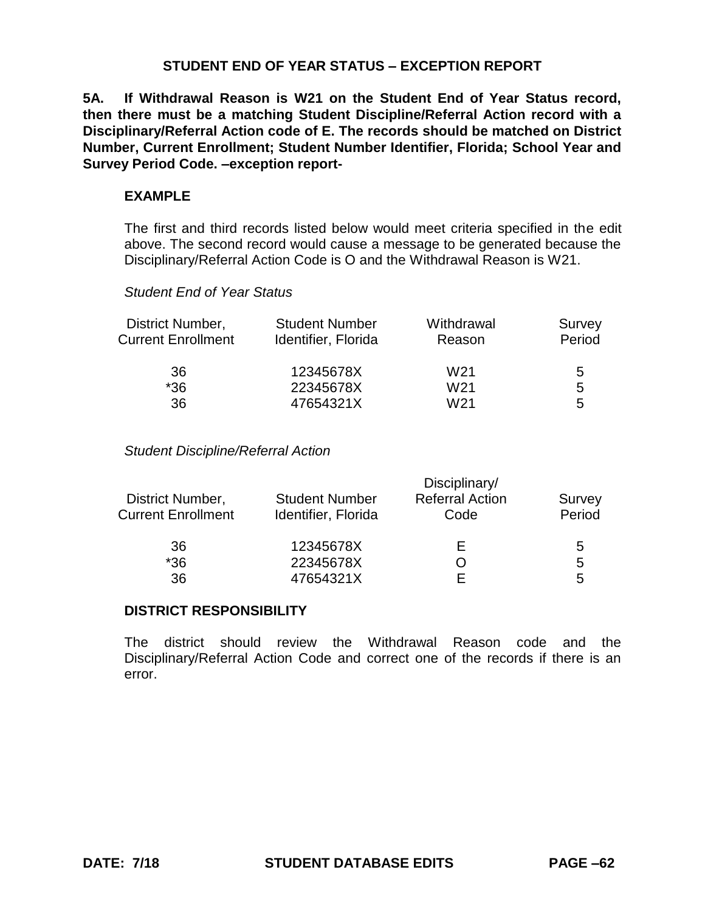# **STUDENT END OF YEAR STATUS – EXCEPTION REPORT**

**5A. If Withdrawal Reason is W21 on the Student End of Year Status record, then there must be a matching Student Discipline/Referral Action record with a Disciplinary/Referral Action code of E. The records should be matched on District Number, Current Enrollment; Student Number Identifier, Florida; School Year and Survey Period Code. –exception report-**

### **EXAMPLE**

The first and third records listed below would meet criteria specified in the edit above. The second record would cause a message to be generated because the Disciplinary/Referral Action Code is O and the Withdrawal Reason is W21.

#### *Student End of Year Status*

| District Number,<br><b>Current Enrollment</b> | <b>Student Number</b><br>Identifier, Florida | Withdrawal<br>Reason | Survey<br>Period |
|-----------------------------------------------|----------------------------------------------|----------------------|------------------|
| 36                                            | 12345678X                                    | W <sub>21</sub>      | 5                |
| $*36$                                         | 22345678X                                    | W <sub>21</sub>      | 5                |
| 36                                            | 47654321X                                    | W <sub>21</sub>      | 5                |

#### *Student Discipline/Referral Action*

| District Number,          | Disciplinary/         |                        |        |
|---------------------------|-----------------------|------------------------|--------|
|                           | <b>Student Number</b> | <b>Referral Action</b> | Survey |
| <b>Current Enrollment</b> | Identifier, Florida   | Code                   | Period |
| 36                        | 12345678X             | ⊢                      | 5      |
| $*36$                     | 22345678X             |                        | 5      |
| 36                        | 47654321X             |                        | 5      |

### **DISTRICT RESPONSIBILITY**

The district should review the Withdrawal Reason code and the Disciplinary/Referral Action Code and correct one of the records if there is an error.